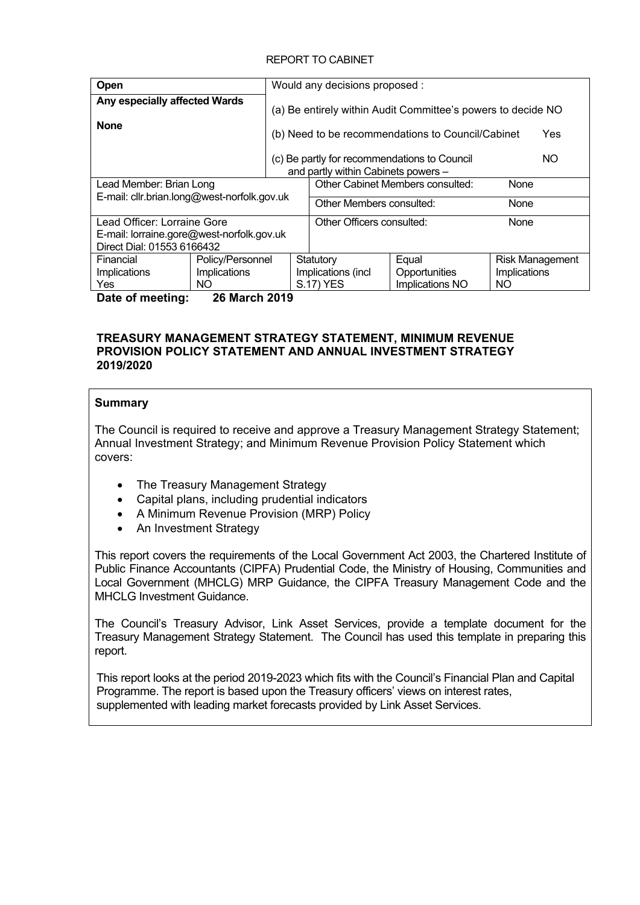## REPORT TO CABINET

| Open                                         |                      |  | Would any decisions proposed :                                                             |                                                              |                        |  |  |
|----------------------------------------------|----------------------|--|--------------------------------------------------------------------------------------------|--------------------------------------------------------------|------------------------|--|--|
| Any especially affected Wards<br><b>None</b> |                      |  |                                                                                            | (a) Be entirely within Audit Committee's powers to decide NO |                        |  |  |
|                                              |                      |  |                                                                                            | (b) Need to be recommendations to Council/Cabinet            | Yes                    |  |  |
|                                              |                      |  | NO.<br>(c) Be partly for recommendations to Council<br>and partly within Cabinets powers - |                                                              |                        |  |  |
| Lead Member: Brian Long                      |                      |  | <b>Other Cabinet Members consulted:</b><br>None                                            |                                                              |                        |  |  |
| E-mail: cllr.brian.long@west-norfolk.gov.uk  |                      |  |                                                                                            |                                                              |                        |  |  |
|                                              |                      |  | Other Members consulted:<br>None                                                           |                                                              |                        |  |  |
| Lead Officer: Lorraine Gore                  |                      |  | Other Officers consulted:<br>None                                                          |                                                              |                        |  |  |
| E-mail: lorraine.gore@west-norfolk.gov.uk    |                      |  |                                                                                            |                                                              |                        |  |  |
| Direct Dial: 01553 6166432                   |                      |  |                                                                                            |                                                              |                        |  |  |
| Financial                                    | Policy/Personnel     |  | Statutory                                                                                  | Equal                                                        | <b>Risk Management</b> |  |  |
| <b>Implications</b>                          | Implications         |  | Implications (incl.                                                                        | Opportunities                                                | <b>Implications</b>    |  |  |
| Yes                                          | NO.                  |  | <b>S.17) YES</b>                                                                           | Implications NO                                              | NO.                    |  |  |
| Date of meeting:                             | <b>26 March 2019</b> |  |                                                                                            |                                                              |                        |  |  |

#### **TREASURY MANAGEMENT STRATEGY STATEMENT, MINIMUM REVENUE PROVISION POLICY STATEMENT AND ANNUAL INVESTMENT STRATEGY 2019/2020**

## **Summary**

The Council is required to receive and approve a Treasury Management Strategy Statement; Annual Investment Strategy; and Minimum Revenue Provision Policy Statement which covers:

- The Treasury Management Strategy
- Capital plans, including prudential indicators
- A Minimum Revenue Provision (MRP) Policy
- An Investment Strategy

This report covers the requirements of the Local Government Act 2003, the Chartered Institute of Public Finance Accountants (CIPFA) Prudential Code, the Ministry of Housing, Communities and Local Government (MHCLG) MRP Guidance, the CIPFA Treasury Management Code and the MHCLG Investment Guidance

The Council's Treasury Advisor, Link Asset Services, provide a template document for the Treasury Management Strategy Statement. The Council has used this template in preparing this report.

This report looks at the period 2019-2023 which fits with the Council's Financial Plan and Capital Programme. The report is based upon the Treasury officers' views on interest rates, supplemented with leading market forecasts provided by Link Asset Services.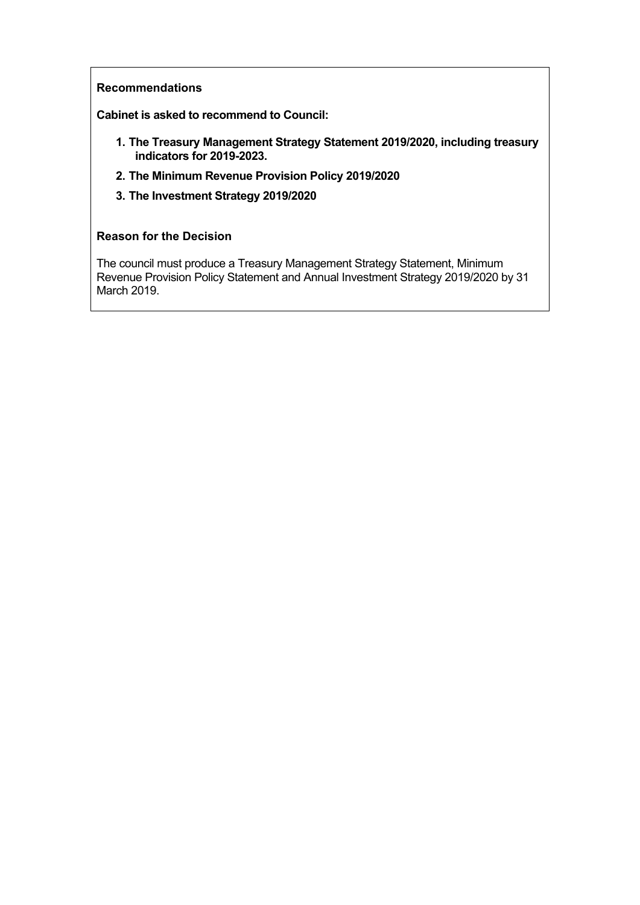## **Recommendations**

**Cabinet is asked to recommend to Council:**

- **1. The Treasury Management Strategy Statement 2019/2020, including treasury indicators for 2019-2023.**
- **2. The Minimum Revenue Provision Policy 2019/2020**
- **3. The Investment Strategy 2019/2020**

## **Reason for the Decision**

The council must produce a Treasury Management Strategy Statement, Minimum Revenue Provision Policy Statement and Annual Investment Strategy 2019/2020 by 31 March 2019.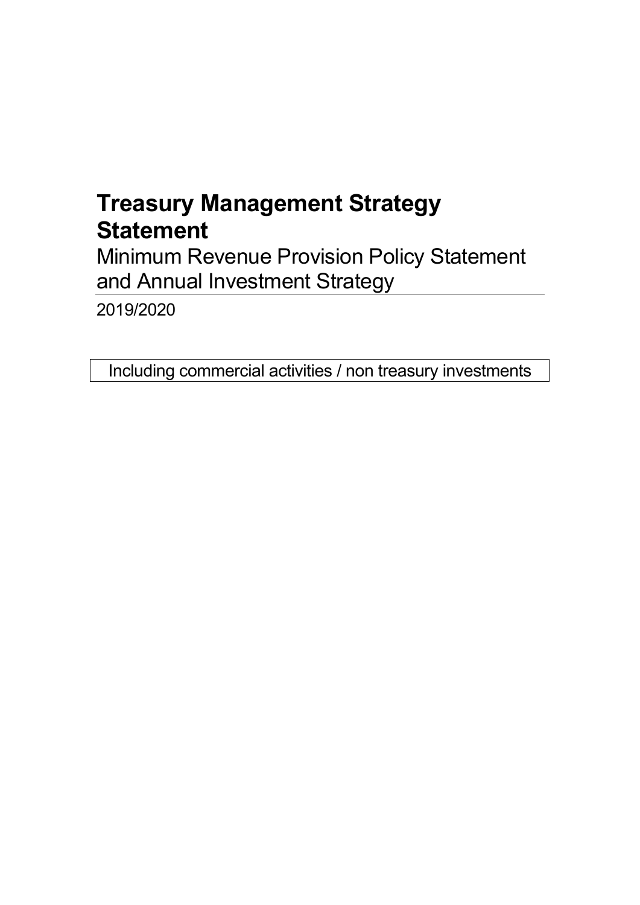# **Treasury Management Strategy Statement**

Minimum Revenue Provision Policy Statement and Annual Investment Strategy

2019/2020

Including commercial activities / non treasury investments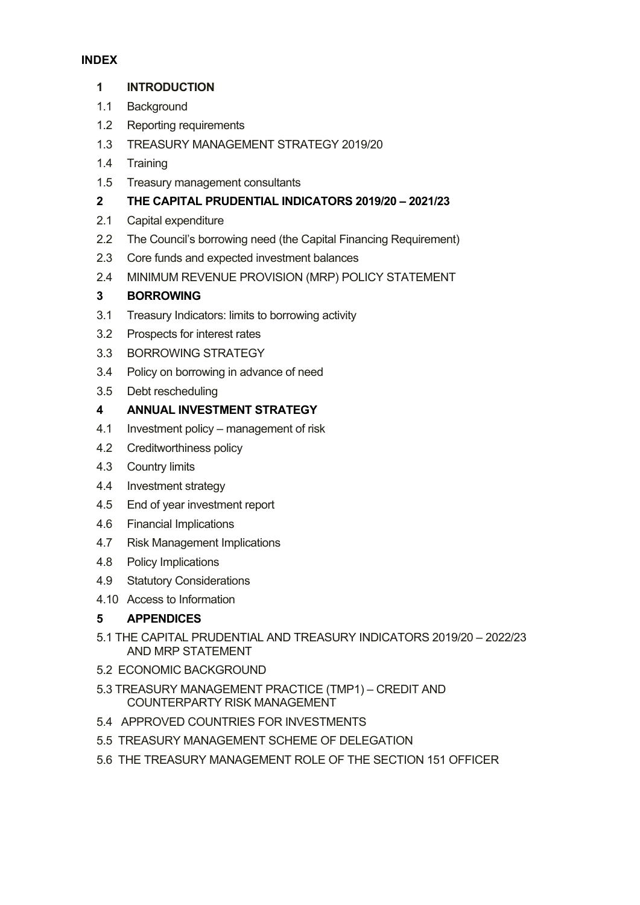## **INDEX**

## **1 [INTRODUCTION](#page-4-0)**

- 1.1 [Background](#page-4-1)
- 1.2 Reporting [requirements](#page-4-2)
- 1.3 TREASURY [MANAGEMENT](#page-6-0) STRATEGY 2019/20
- 1.4 [Training](#page-6-1)
- 1.5 Treasury [management](#page-6-2) consultants

## **2 THE CAPITAL [PRUDENTIAL](#page-7-0) INDICATORS 2019/20 – 2021/23**

- 2.1 Capital [expenditure](#page-7-1)
- 2.2 The Council's borrowing need (the Capital Financing [Requirement\)](#page-8-0)
- 2.3 Core funds and expected [investment](#page-9-0) balances
- 2.4 MINIMUM REVENUE PROVISION (MRP) POLICY [STATEMENT](#page-9-1)

## **3 [BORROWING](#page-10-0)**

- 3.1 Treasury [Indicators:](#page-11-0) limits to borrowing activity
- 3.2 [Prospects](#page-11-1) for interest rates
- 3.3 [BORROWING](#page-12-0) STRATEGY
- 3.4 Policy on [borrowing](#page-12-1) in advance of need
- 3.5 Debt [rescheduling](#page-13-0)

## **4 ANNUAL [INVESTMENT](#page-14-0) STRATEGY**

- 4.1 Investment policy [management](#page-14-1) of risk
- 4.2 [Creditworthiness](#page-15-0) policy
- 4.3 [Country](#page-18-0) limits
- 4.4 [Investment](#page-18-1) strategy
- 4.5 End of year [investment](#page-19-0) report
- 4.6 Financial [Implications](#page-20-0)
- 4.7 Risk [Management](#page-20-1) Implications
- 4.8 Policy [Implications](#page-20-2)
- 4.9 Statutory [Considerations](#page-20-3)
- 4.10 Access to [Information](#page-20-4)

## **5 [APPENDICES](#page-21-0)**

- 5.1 THE CAPITAL [PRUDENTIAL](#page-22-0) AND TREASURY INDICATORS 2019/20 2022/23 AND MRP [STATEMENT](#page-22-0)
- 5.2 ECONOMIC [BACKGROUND](#page-24-0)
- 5.3 TREASURY [MANAGEMENT](#page-30-0) PRACTICE (TMP1) CREDIT AND [COUNTERPARTY](#page-30-0) RISK MANAGEMENT
- 5.4 APPROVED COUNTRIES FOR [INVESTMENTS](#page-33-0)
- 5.5 TREASURY [MANAGEMENT](#page-34-0) SCHEME OF DELEGATION
- 5.6 THE TREASURY [MANAGEMENT](#page-35-0) ROLE OF THE SECTION 151 OFFICER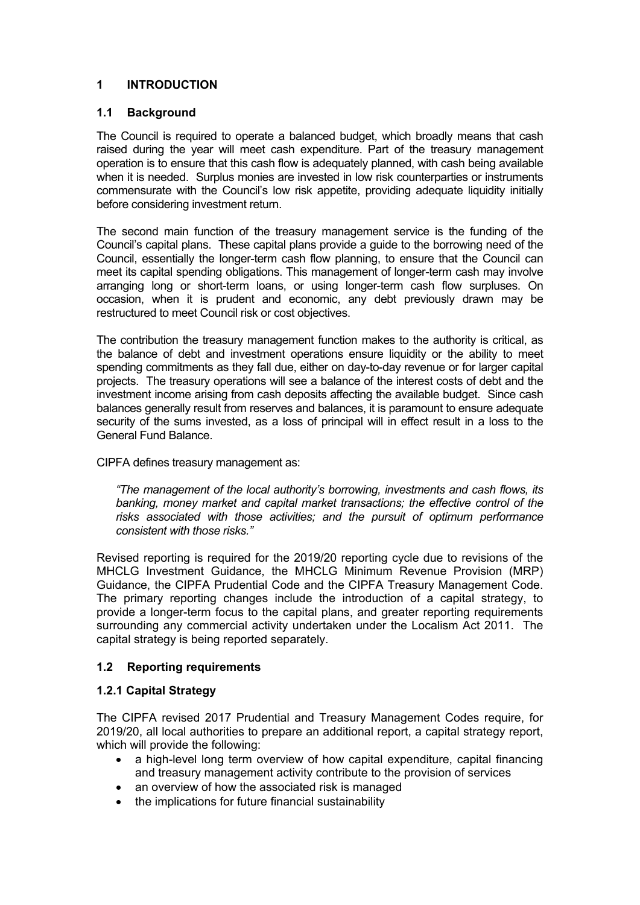## <span id="page-4-0"></span>**1 INTRODUCTION**

## <span id="page-4-1"></span>**1.1 Background**

The Council is required to operate a balanced budget, which broadly means that cash raised during the year will meet cash expenditure. Part of the treasury management operation is to ensure that this cash flow is adequately planned, with cash being available when it is needed. Surplus monies are invested in low risk counterparties or instruments commensurate with the Council's low risk appetite, providing adequate liquidity initially before considering investment return.

The second main function of the treasury management service is the funding of the Council's capital plans. These capital plans provide a guide to the borrowing need of the Council, essentially the longer-term cash flow planning, to ensure that the Council can meet its capital spending obligations. This management of longer-term cash may involve arranging long or short-term loans, or using longer-term cash flow surpluses. On occasion, when it is prudent and economic, any debt previously drawn may be restructured to meet Council risk or cost objectives.

The contribution the treasury management function makes to the authority is critical, as the balance of debt and investment operations ensure liquidity or the ability to meet spending commitments as they fall due, either on day-to-day revenue or for larger capital projects. The treasury operations will see a balance of the interest costs of debt and the investment income arising from cash deposits affecting the available budget. Since cash balances generally result from reserves and balances, it is paramount to ensure adequate security of the sums invested, as a loss of principal will in effect result in a loss to the General Fund Balance.

## CIPFA defines treasury management as:

*"The management of the local authority's borrowing, investments and cash flows, its banking, money market and capital market transactions; the effective control of the risks associated with those activities; and the pursuit of optimum performance consistent with those risks."*

Revised reporting is required for the 2019/20 reporting cycle due to revisions of the MHCLG Investment Guidance, the MHCLG Minimum Revenue Provision (MRP) Guidance, the CIPFA Prudential Code and the CIPFA Treasury Management Code. The primary reporting changes include the introduction of a capital strategy, to provide a longer-term focus to the capital plans, and greater reporting requirements surrounding any commercial activity undertaken under the Localism Act 2011. The capital strategy is being reported separately.

## <span id="page-4-2"></span>**1.2 Reporting requirements**

## **1.2.1 Capital Strategy**

The CIPFA revised 2017 Prudential and Treasury Management Codes require, for 2019/20, all local authorities to prepare an additional report, a capital strategy report, which will provide the following:

- a high-level long term overview of how capital expenditure, capital financing and treasury management activity contribute to the provision of services
- an overview of how the associated risk is managed
- the implications for future financial sustainability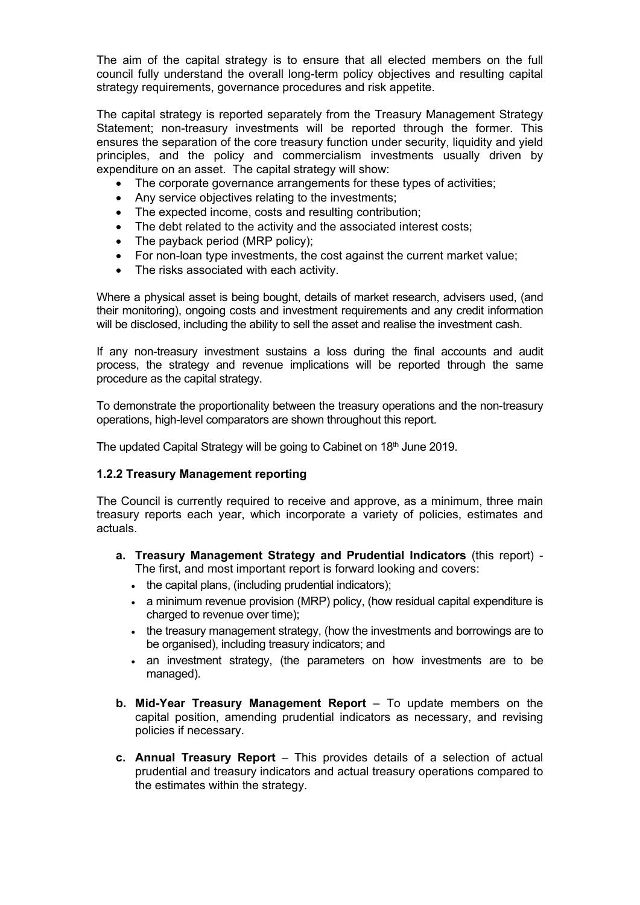The aim of the capital strategy is to ensure that all elected members on the full council fully understand the overall long-term policy objectives and resulting capital strategy requirements, governance procedures and risk appetite.

The capital strategy is reported separately from the Treasury Management Strategy Statement; non-treasury investments will be reported through the former. This ensures the separation of the core treasury function under security, liquidity and yield principles, and the policy and commercialism investments usually driven by expenditure on an asset. The capital strategy will show:

- The corporate governance arrangements for these types of activities;
- Any service objectives relating to the investments;
- The expected income, costs and resulting contribution;
- The debt related to the activity and the associated interest costs;
- The payback period (MRP policy);
- For non-loan type investments, the cost against the current market value;
- The risks associated with each activity.

Where a physical asset is being bought, details of market research, advisers used, (and their monitoring), ongoing costs and investment requirements and any credit information will be disclosed, including the ability to sell the asset and realise the investment cash.

If any non-treasury investment sustains a loss during the final accounts and audit process, the strategy and revenue implications will be reported through the same procedure as the capital strategy.

To demonstrate the proportionality between the treasury operations and the non-treasury operations, high-level comparators are shown throughout this report.

The updated Capital Strategy will be going to Cabinet on 18<sup>th</sup> June 2019.

## **1.2.2 Treasury Management reporting**

The Council is currently required to receive and approve, as a minimum, three main treasury reports each year, which incorporate a variety of policies, estimates and actuals.

- **a. Treasury Management Strategy and Prudential Indicators** (this report) The first, and most important report is forward looking and covers:
	- the capital plans, (including prudential indicators);
	- a minimum revenue provision (MRP) policy, (how residual capital expenditure is charged to revenue over time);
	- the treasury management strategy, (how the investments and borrowings are to be organised), including treasury indicators; and
	- an investment strategy, (the parameters on how investments are to be managed).
- **b. Mid-Year Treasury Management Report** To update members on the capital position, amending prudential indicators as necessary, and revising policies if necessary.
- **c. Annual Treasury Report** This provides details of a selection of actual prudential and treasury indicators and actual treasury operations compared to the estimates within the strategy.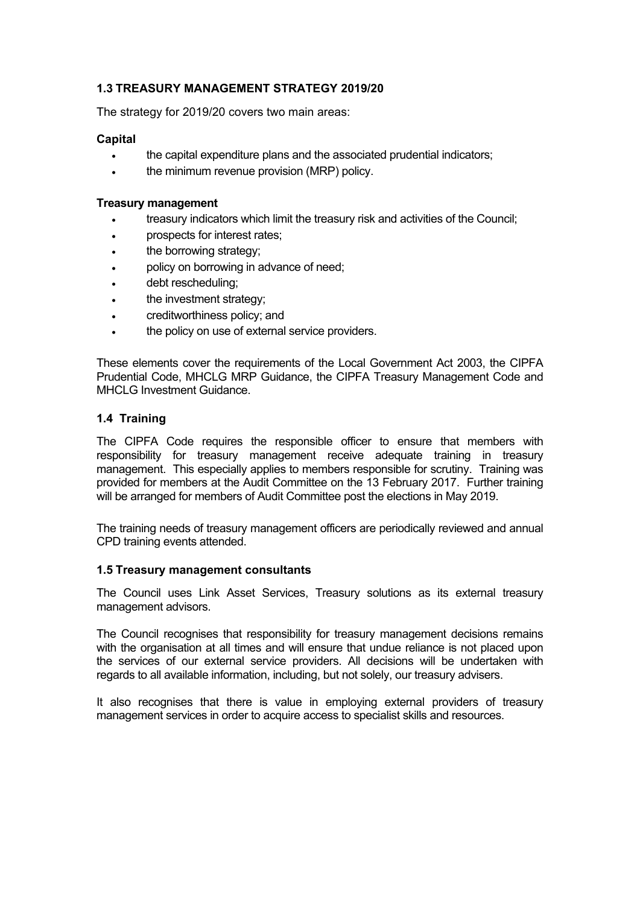## <span id="page-6-0"></span>**1.3 TREASURY MANAGEMENT STRATEGY 2019/20**

The strategy for 2019/20 covers two main areas:

#### **Capital**

- . the capital expenditure plans and the associated prudential indicators:
- . the minimum revenue provision (MRP) policy.

## **Treasury management**

- treasury indicators which limit the treasury risk and activities of the Council;
- prospects for interest rates;
- the borrowing strategy;
- policy on borrowing in advance of need;
- debt rescheduling;
- the investment strategy;
- creditworthiness policy; and
- the policy on use of external service providers.

These elements cover the requirements of the Local Government Act 2003, the CIPFA Prudential Code, MHCLG MRP Guidance, the CIPFA Treasury Management Code and MHCLG Investment Guidance.

## <span id="page-6-1"></span>**1.4 Training**

The CIPFA Code requires the responsible officer to ensure that members with responsibility for treasury management receive adequate training in treasury management. This especially applies to members responsible for scrutiny. Training was provided for members at the Audit Committee on the 13 February 2017. Further training will be arranged for members of Audit Committee post the elections in May 2019.

The training needs of treasury management officers are periodically reviewed and annual CPD training events attended.

## <span id="page-6-2"></span>**1.5 Treasury management consultants**

The Council uses Link Asset Services, Treasury solutions as its external treasury management advisors.

The Council recognises that responsibility for treasury management decisions remains with the organisation at all times and will ensure that undue reliance is not placed upon the services of our external service providers. All decisions will be undertaken with regards to all available information, including, but not solely, our treasury advisers.

It also recognises that there is value in employing external providers of treasury management services in order to acquire access to specialist skills and resources.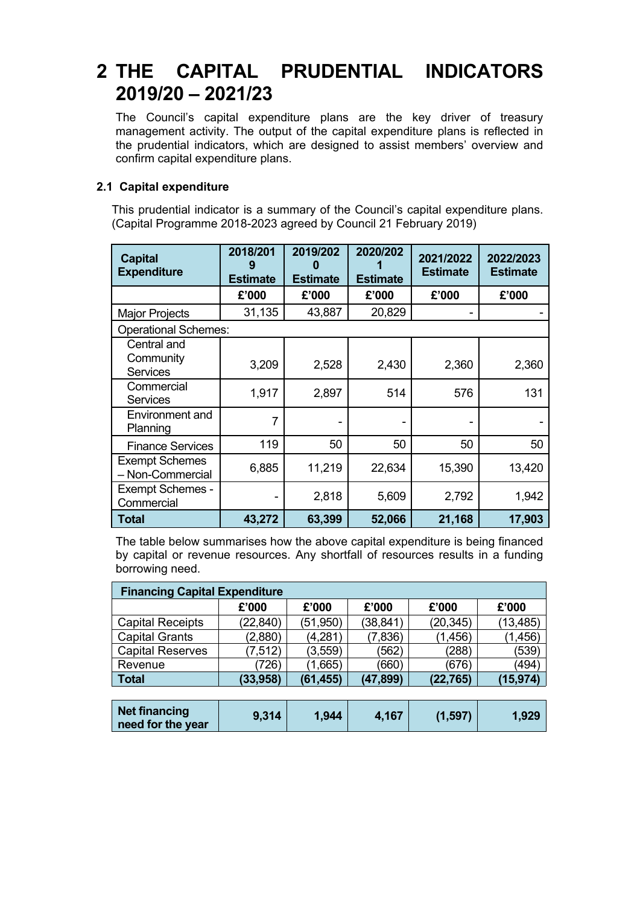## <span id="page-7-0"></span>**2 THE CAPITAL PRUDENTIAL INDICATORS 2019/20 – 2021/23**

The Council's capital expenditure plans are the key driver of treasury management activity. The output of the capital expenditure plans is reflected in the prudential indicators, which are designed to assist members' overview and confirm capital expenditure plans.

## <span id="page-7-1"></span>**2.1 Capital expenditure**

This prudential indicator is a summary of the Council's capital expenditure plans. (Capital Programme 2018-2023 agreed by Council 21 February 2019)

| <b>Capital</b><br><b>Expenditure</b>        | 2018/201<br>9<br><b>Estimate</b> | 2019/202<br>n<br><b>Estimate</b> | 2020/202<br><b>Estimate</b> | 2021/2022<br><b>Estimate</b> | 2022/2023<br><b>Estimate</b> |
|---------------------------------------------|----------------------------------|----------------------------------|-----------------------------|------------------------------|------------------------------|
|                                             | £'000                            | £'000                            | £'000                       | £'000                        | £'000                        |
| <b>Major Projects</b>                       | 31,135                           | 43,887                           | 20,829                      |                              |                              |
| <b>Operational Schemes:</b>                 |                                  |                                  |                             |                              |                              |
| Central and<br>Community<br><b>Services</b> | 3,209                            | 2,528                            | 2,430                       | 2,360                        | 2,360                        |
| Commercial<br><b>Services</b>               | 1,917                            | 2,897                            | 514                         | 576                          | 131                          |
| <b>Environment and</b><br>Planning          | 7                                |                                  |                             |                              |                              |
| <b>Finance Services</b>                     | 119                              | 50                               | 50                          | 50                           | 50                           |
| <b>Exempt Schemes</b><br>- Non-Commercial   | 6,885                            | 11,219                           | 22,634                      | 15,390                       | 13,420                       |
| <b>Exempt Schemes -</b><br>Commercial       |                                  | 2,818                            | 5,609                       | 2,792                        | 1,942                        |
| Total                                       | 43,272                           | 63,399                           | 52,066                      | 21,168                       | 17,903                       |

The table below summarises how the above capital expenditure is being financed by capital or revenue resources. Any shortfall of resources results in a funding borrowing need.

| <b>Financing Capital Expenditure</b> |           |           |           |           |           |  |  |  |  |  |
|--------------------------------------|-----------|-----------|-----------|-----------|-----------|--|--|--|--|--|
|                                      | £'000     | £'000     | £'000     | £'000     | £'000     |  |  |  |  |  |
| <b>Capital Receipts</b>              | (22, 840) | (51, 950) | (38, 841) | (20, 345) | (13, 485) |  |  |  |  |  |
| <b>Capital Grants</b>                | (2,880)   | (4,281)   | (7,836)   | (1,456)   | (1, 456)  |  |  |  |  |  |
| <b>Capital Reserves</b>              | (7, 512)  | (3,559)   | (562)     | (288)     | (539)     |  |  |  |  |  |
| Revenue                              | (726)     | (1,665)   | (660)     | (676)     | (494)     |  |  |  |  |  |
| <b>Total</b>                         | (33,958)  | (61, 455) | (47, 899) | (22,765)  | (15,974)  |  |  |  |  |  |

| Net financing<br>need for the year | 9,314 | 1,944 | 4,167 | (1, 597) | 1,929 |
|------------------------------------|-------|-------|-------|----------|-------|
|------------------------------------|-------|-------|-------|----------|-------|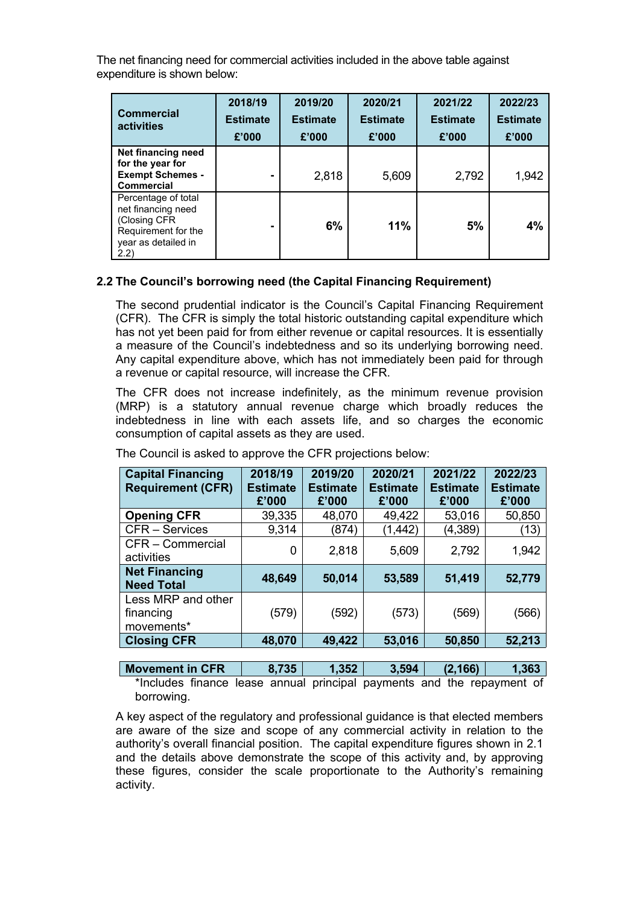The net financing need for commercial activities included in the above table against expenditure is shown below:

| <b>Commercial</b><br>activities                                                                                  | 2018/19<br><b>Estimate</b><br>£'000 | 2019/20<br><b>Estimate</b><br>£'000 | 2020/21<br><b>Estimate</b><br>£'000 | 2021/22<br><b>Estimate</b><br>£'000 | 2022/23<br><b>Estimate</b><br>£'000 |
|------------------------------------------------------------------------------------------------------------------|-------------------------------------|-------------------------------------|-------------------------------------|-------------------------------------|-------------------------------------|
| Net financing need<br>for the year for<br><b>Exempt Schemes -</b><br>Commercial                                  |                                     | 2,818                               | 5,609                               | 2,792                               | 1,942                               |
| Percentage of total<br>net financing need<br>(Closing CFR)<br>Requirement for the<br>year as detailed in<br>2.2) |                                     | 6%                                  | 11%                                 | 5%                                  | 4%                                  |

## <span id="page-8-0"></span>**2.2 The Council's borrowing need (the Capital Financing Requirement)**

The second prudential indicator is the Council's Capital Financing Requirement (CFR). The CFR is simply the total historic outstanding capital expenditure which has not yet been paid for from either revenue or capital resources. It is essentially a measure of the Council's indebtedness and so its underlying borrowing need. Any capital expenditure above, which has not immediately been paid for through a revenue or capital resource, will increase the CFR.

The CFR does not increase indefinitely, as the minimum revenue provision (MRP) is a statutory annual revenue charge which broadly reduces the indebtedness in line with each assets life, and so charges the economic consumption of capital assets as they are used.

| <b>Capital Financing</b><br><b>Requirement (CFR)</b> | 2018/19<br><b>Estimate</b><br>£'000 | 2019/20<br><b>Estimate</b><br>£'000 | 2020/21<br><b>Estimate</b><br>£'000 | 2021/22<br><b>Estimate</b><br>£'000 | 2022/23<br><b>Estimate</b><br>£'000 |
|------------------------------------------------------|-------------------------------------|-------------------------------------|-------------------------------------|-------------------------------------|-------------------------------------|
| <b>Opening CFR</b>                                   | 39,335                              | 48,070                              | 49,422                              | 53,016                              | 50,850                              |
| <b>CFR</b> – Services                                | 9,314                               | (874)                               | (1, 442)                            | (4,389)                             | (13)                                |
| CFR - Commercial<br>activities                       | 0                                   | 2,818                               | 5,609                               | 2,792                               | 1,942                               |
| <b>Net Financing</b><br><b>Need Total</b>            | 48,649                              | 50,014                              | 53,589                              | 51,419                              | 52,779                              |
| Less MRP and other<br>financing<br>movements*        | (579)                               | (592)                               | (573)                               | (569)                               | (566)                               |
| <b>Closing CFR</b>                                   | 48,070                              | 49,422                              | 53,016                              | 50,850                              | 52,213                              |

The Council is asked to approve the CFR projections below:

**Movement in CFR 8,735 1,352 3,594 (2,166) 1,363** \*Includes finance lease annual principal payments and the repayment of borrowing.

A key aspect of the regulatory and professional guidance is that elected members are aware of the size and scope of any commercial activity in relation to the authority's overall financial position. The capital expenditure figures shown in 2.1 and the details above demonstrate the scope of this activity and, by approving these figures, consider the scale proportionate to the Authority's remaining activity.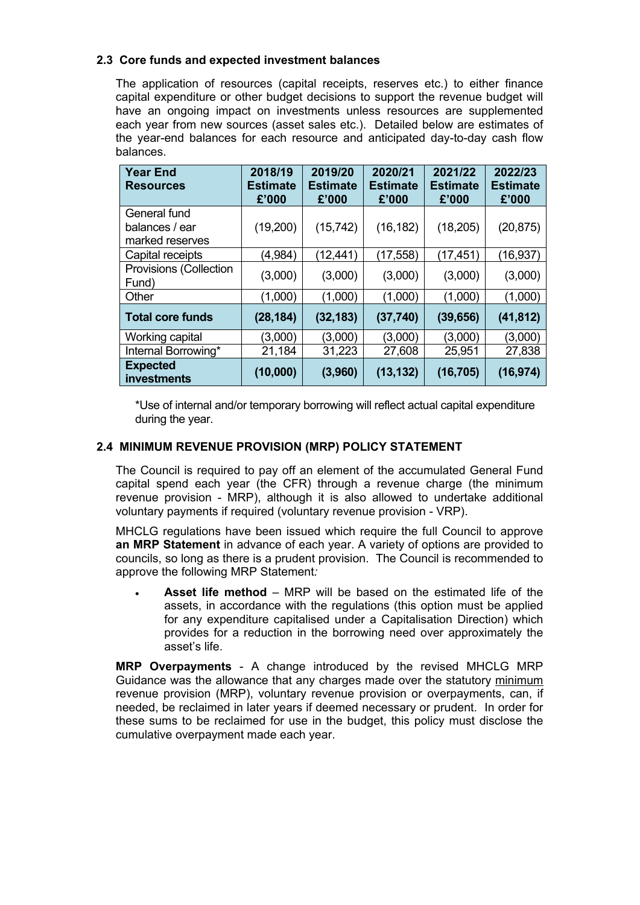## <span id="page-9-0"></span>**2.3 Core funds and expected investment balances**

The application of resources (capital receipts, reserves etc.) to either finance capital expenditure or other budget decisions to support the revenue budget will have an ongoing impact on investments unless resources are supplemented each year from new sources (asset sales etc.). Detailed below are estimates of the year-end balances for each resource and anticipated day-to-day cash flow balances.

| <b>Year End</b><br><b>Resources</b> | 2018/19<br><b>Estimate</b><br>£'000 | 2019/20<br><b>Estimate</b><br>£'000 | 2020/21<br><b>Estimate</b><br>£'000 | 2021/22<br><b>Estimate</b><br>£'000 | 2022/23<br><b>Estimate</b><br>£'000 |
|-------------------------------------|-------------------------------------|-------------------------------------|-------------------------------------|-------------------------------------|-------------------------------------|
| General fund                        |                                     |                                     |                                     |                                     |                                     |
| balances / ear                      | (19,200)                            | (15, 742)                           | (16, 182)                           | (18, 205)                           | (20, 875)                           |
| marked reserves                     |                                     |                                     |                                     |                                     |                                     |
| Capital receipts                    | (4,984)                             | (12, 441)                           | (17, 558)                           | (17, 451)                           | (16,937)                            |
| Provisions (Collection<br>Fund)     | (3,000)                             | (3,000)                             | (3,000)                             | (3,000)                             | (3,000)                             |
| Other                               | (1,000)                             | (1,000)                             | (1,000)                             | (1,000)                             | (1,000)                             |
| <b>Total core funds</b>             | (28, 184)                           | (32, 183)                           | (37, 740)                           | (39, 656)                           | (41, 812)                           |
| Working capital                     | (3,000)                             | (3,000)                             | (3,000)                             | (3,000)                             | (3,000)                             |
| Internal Borrowing*                 | 21,184                              | 31,223                              | 27,608                              | 25,951                              | 27,838                              |
| <b>Expected</b><br>investments      | (10,000)                            | (3,960)                             | (13, 132)                           | (16, 705)                           | (16, 974)                           |

\*Use of internal and/or temporary borrowing will reflect actual capital expenditure during the year.

## <span id="page-9-1"></span>**2.4 MINIMUM REVENUE PROVISION (MRP) POLICY STATEMENT**

The Council is required to pay off an element of the accumulated General Fund capital spend each year (the CFR) through a revenue charge (the minimum revenue provision - MRP), although it is also allowed to undertake additional voluntary payments if required (voluntary revenue provision - VRP).

MHCLG regulations have been issued which require the full Council to approve **an MRP Statement** in advance of each year. A variety of options are provided to councils, so long as there is a prudent provision. The Council is recommended to approve the following MRP Statement*:*

 **Asset life method** – MRP will be based on the estimated life of the assets, in accordance with the regulations (this option must be applied for any expenditure capitalised under a Capitalisation Direction) which provides for a reduction in the borrowing need over approximately the asset's life.

**MRP Overpayments** - A change introduced by the revised MHCLG MRP Guidance was the allowance that any charges made over the statutory minimum revenue provision (MRP), voluntary revenue provision or overpayments, can, if needed, be reclaimed in later years if deemed necessary or prudent. In order for these sums to be reclaimed for use in the budget, this policy must disclose the cumulative overpayment made each year.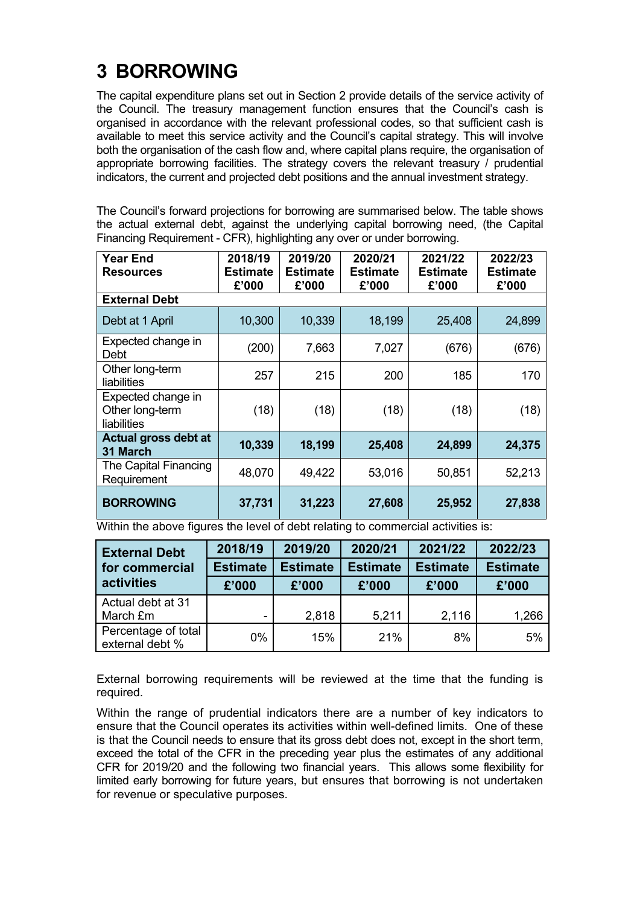## <span id="page-10-0"></span>**3 BORROWING**

The capital expenditure plans set out in Section 2 provide details of the service activity of the Council. The treasury management function ensures that the Council's cash is organised in accordance with the relevant professional codes, so that sufficient cash is available to meet this service activity and the Council's capital strategy. This will involve both the organisation of the cash flow and, where capital plans require, the organisation of appropriate borrowing facilities. The strategy covers the relevant treasury / prudential indicators, the current and projected debt positions and the annual investment strategy.

The Council's forward projections for borrowing are summarised below. The table shows the actual external debt, against the underlying capital borrowing need, (the Capital Financing Requirement - CFR), highlighting any over or under borrowing.

| Year End<br><b>Resources</b>                         | 2018/19<br>Estimate<br>£'000 | 2019/20<br>Estimate<br>£'000 | 2020/21<br><b>Estimate</b><br>£'000 | 2021/22<br><b>Estimate</b><br>£'000 | 2022/23<br>Estimate<br>£'000 |
|------------------------------------------------------|------------------------------|------------------------------|-------------------------------------|-------------------------------------|------------------------------|
| <b>External Debt</b>                                 |                              |                              |                                     |                                     |                              |
| Debt at 1 April                                      | 10,300                       | 10,339                       | 18,199                              | 25,408                              | 24,899                       |
| Expected change in<br>Debt                           | (200)                        | 7,663                        | 7,027                               | (676)                               | (676)                        |
| Other long-term<br>liabilities                       | 257                          | 215                          | 200                                 | 185                                 | 170                          |
| Expected change in<br>Other long-term<br>liabilities | (18)                         | (18)                         | (18)                                | (18)                                | (18)                         |
| Actual gross debt at<br>31 March                     | 10,339                       | 18,199                       | 25,408                              | 24,899                              | 24,375                       |
| The Capital Financing<br>Requirement                 | 48,070                       | 49,422                       | 53,016                              | 50,851                              | 52,213                       |
| <b>BORROWING</b>                                     | 37,731                       | 31,223                       | 27,608                              | 25,952                              | 27,838                       |

Within the above figures the level of debt relating to commercial activities is:

| <b>External Debt</b>                   | 2018/19         | 2019/20                            | 2020/21 | 2021/22         | 2022/23         |  |
|----------------------------------------|-----------------|------------------------------------|---------|-----------------|-----------------|--|
| for commercial                         | <b>Estimate</b> | <b>Estimate</b><br><b>Estimate</b> |         | <b>Estimate</b> | <b>Estimate</b> |  |
| activities                             | £'000           | £'000                              | £'000   | £'000           | £'000           |  |
| Actual debt at 31<br>March £m          |                 | 2,818                              | 5,211   | 2,116           | 1,266           |  |
| Percentage of total<br>external debt % | $0\%$           | 15%                                | 21%     | 8%              | 5%              |  |

External borrowing requirements will be reviewed at the time that the funding is required.

Within the range of prudential indicators there are a number of key indicators to ensure that the Council operates its activities within well-defined limits. One of these is that the Council needs to ensure that its gross debt does not, except in the short term, exceed the total of the CFR in the preceding year plus the estimates of any additional CFR for 2019/20 and the following two financial years. This allows some flexibility for limited early borrowing for future years, but ensures that borrowing is not undertaken for revenue or speculative purposes.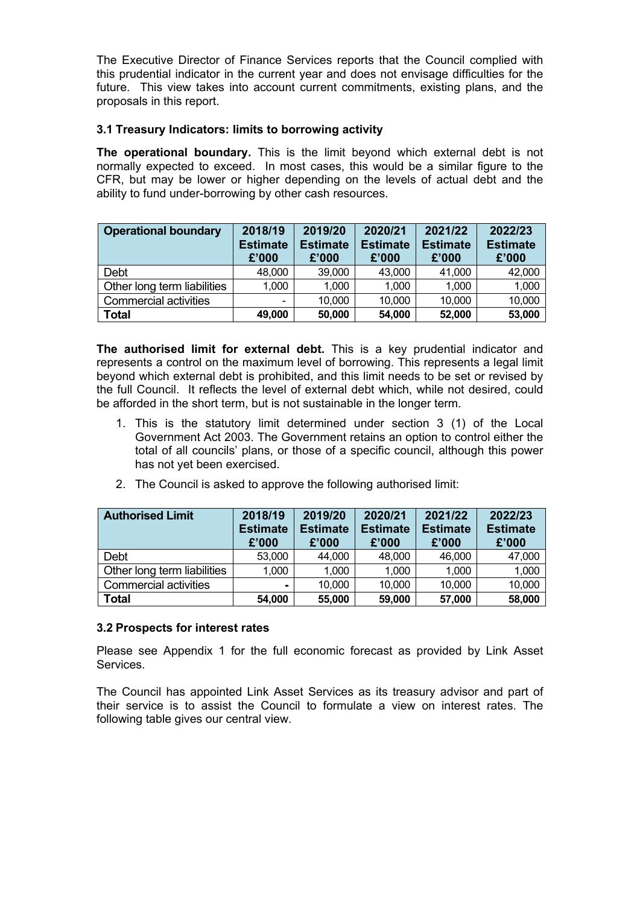The Executive Director of Finance Services reports that the Council complied with this prudential indicator in the current year and does not envisage difficulties for the future. This view takes into account current commitments, existing plans, and the proposals in this report.

## <span id="page-11-0"></span>**3.1 Treasury Indicators: limits to borrowing activity**

**The operational boundary.** This is the limit beyond which external debt is not normally expected to exceed. In most cases, this would be a similar figure to the CFR, but may be lower or higher depending on the levels of actual debt and the ability to fund under-borrowing by other cash resources.

| <b>Operational boundary</b>  | 2018/19<br><b>Estimate</b><br>£'000 | 2019/20<br><b>Estimate</b><br>£'000 | 2020/21<br><b>Estimate</b><br>£'000 | 2021/22<br><b>Estimate</b><br>£'000 | 2022/23<br><b>Estimate</b><br>£'000 |
|------------------------------|-------------------------------------|-------------------------------------|-------------------------------------|-------------------------------------|-------------------------------------|
| Debt                         | 48,000                              | 39,000                              | 43,000                              | 41,000                              | 42,000                              |
| Other long term liabilities  | 1,000                               | 1,000                               | 1,000                               | 1,000                               | 1,000                               |
| <b>Commercial activities</b> |                                     | 10,000                              | 10,000                              | 10,000                              | 10,000                              |
| <b>Total</b>                 | 49,000                              | 50,000                              | 54,000                              | 52,000                              | 53,000                              |

**The authorised limit for external debt.** This is a key prudential indicator and represents a control on the maximum level of borrowing. This represents a legal limit beyond which external debt is prohibited, and this limit needs to be set or revised by the full Council. It reflects the level of external debt which, while not desired, could be afforded in the short term, but is not sustainable in the longer term.

- 1. This is the statutory limit determined under section 3 (1) of the Local Government Act 2003. The Government retains an option to control either the total of all councils' plans, or those of a specific council, although this power has not yet been exercised.
- 2. The Council is asked to approve the following authorised limit:

| <b>Authorised Limit</b>     | 2018/19<br><b>Estimate</b><br>£'000 | 2019/20<br><b>Estimate</b><br>£'000 | 2020/21<br><b>Estimate</b><br>£'000 | 2021/22<br><b>Estimate</b><br>£'000 | 2022/23<br><b>Estimate</b><br>£'000 |
|-----------------------------|-------------------------------------|-------------------------------------|-------------------------------------|-------------------------------------|-------------------------------------|
| Debt                        | 53,000                              | 44,000                              | 48,000                              | 46,000                              | 47,000                              |
| Other long term liabilities | 1,000                               | 1,000                               | 1,000                               | 1,000                               | 1,000                               |
| Commercial activities       | -                                   | 10,000                              | 10,000                              | 10,000                              | 10,000                              |
| <b>Total</b>                | 54,000                              | 55,000                              | 59,000                              | 57,000                              | 58,000                              |

## <span id="page-11-1"></span>**3.2 Prospects for interest rates**

Please see Appendix 1 for the full economic forecast as provided by Link Asset Services.

The Council has appointed Link Asset Services as its treasury advisor and part of their service is to assist the Council to formulate a view on interest rates. The following table gives our central view.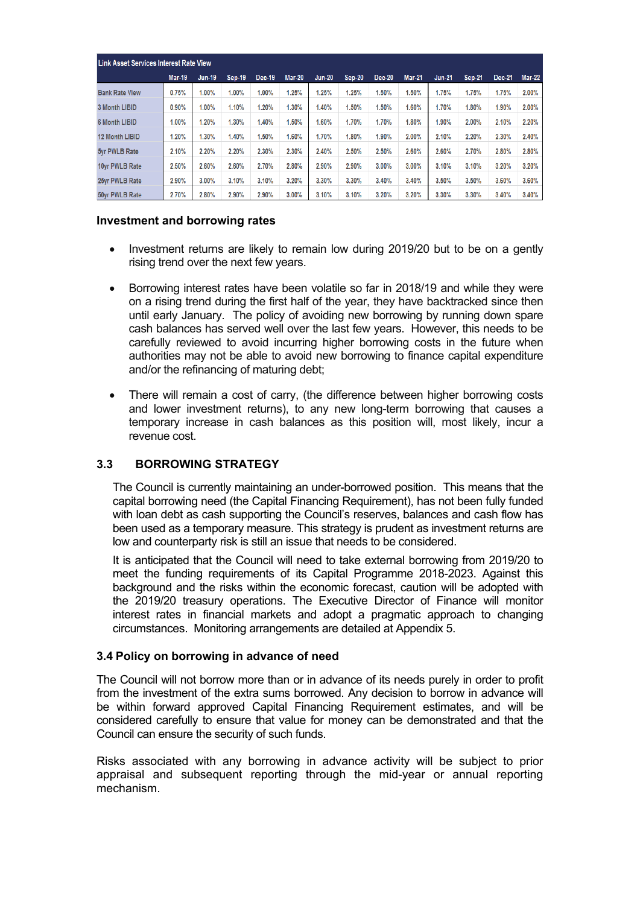|                       | <b>Link Asset Services Interest Rate View</b> |               |        |        |               |               |               |               |        |               |               |               |               |
|-----------------------|-----------------------------------------------|---------------|--------|--------|---------------|---------------|---------------|---------------|--------|---------------|---------------|---------------|---------------|
|                       | <b>Mar-19</b>                                 | <b>Jun-19</b> | Sep-19 | Dec-19 | <b>Mar-20</b> | <b>Jun-20</b> | <b>Sep-20</b> | <b>Dec-20</b> | Mar-21 | <b>Jun-21</b> | <b>Sep-21</b> | <b>Dec-21</b> | <b>Mar-22</b> |
| <b>Bank Rate View</b> | 0.75%                                         | $1.00\%$      | 1.00%  | 1.00%  | 1.25%         | 1.25%         | 1.25%         | 1.50%         | 1.50%  | 1.75%         | 1.75%         | 1.75%         | 2.00%         |
| 3 Month LIBID         | 0.90%                                         | 1.00%         | 1.10%  | 1.20%  | 1.30%         | 1.40%         | 1.50%         | 1.50%         | 1.60%  | 1.70%         | 1.80%         | 1.90%         | 2.00%         |
| <b>6 Month LIBID</b>  | $1.00\%$                                      | 1.20%         | 1.30%  | 1.40%  | 1.50%         | 1.60%         | 1.70%         | 1.70%         | 1.80%  | 1.90%         | 2.00%         | 2.10%         | 2.20%         |
| <b>12 Month LIBID</b> | 1.20%                                         | $1.30\%$      | 1.40%  | 1.50%  | 1.60%         | 1.70%         | 1.80%         | 1.90%         | 2.00%  | 2.10%         | 2.20%         | 2.30%         | 2.40%         |
| 5yr PWLB Rate         | 2.10%                                         | 2.20%         | 2.20%  | 2.30%  | 2.30%         | 2.40%         | 2.50%         | 2.50%         | 2.60%  | 2.60%         | 2.70%         | 2.80%         | 2.80%         |
| 10vr PWLB Rate        | 2.50%                                         | 2.60%         | 2.60%  | 2.70%  | 2.80%         | 2.90%         | 2.90%         | 3.00%         | 3.00%  | 3.10%         | 3.10%         | 3.20%         | 3.20%         |
| 25yr PWLB Rate        | 2.90%                                         | 3.00%         | 3.10%  | 3.10%  | 3.20%         | 3.30%         | 3.30%         | 3.40%         | 3.40%  | 3.50%         | 3.50%         | 3.60%         | 3.60%         |
| 50yr PWLB Rate        | 2.70%                                         | 2.80%         | 2.90%  | 2.90%  | 3.00%         | 3.10%         | 3.10%         | 3.20%         | 3.20%  | 3.30%         | 3.30%         | 3.40%         | 3.40%         |

#### **Investment and borrowing rates**

- Investment returns are likely to remain low during 2019/20 but to be on a gently rising trend over the next few years.
- Borrowing interest rates have been volatile so far in 2018/19 and while they were on a rising trend during the first half of the year, they have backtracked since then until early January. The policy of avoiding new borrowing by running down spare cash balances has served well over the last few years. However, this needs to be carefully reviewed to avoid incurring higher borrowing costs in the future when authorities may not be able to avoid new borrowing to finance capital expenditure and/or the refinancing of maturing debt;
- There will remain a cost of carry, (the difference between higher borrowing costs and lower investment returns), to any new long-term borrowing that causes a temporary increase in cash balances as this position will, most likely, incur a revenue cost.

## **3.3 BORROWING STRATEGY**

<span id="page-12-0"></span>The Council is currently maintaining an under-borrowed position. This means that the capital borrowing need (the Capital Financing Requirement), has not been fully funded with loan debt as cash supporting the Council's reserves, balances and cash flow has been used as a temporary measure. This strategy is prudent as investment returns are low and counterparty risk is still an issue that needs to be considered.

It is anticipated that the Council will need to take external borrowing from 2019/20 to meet the funding requirements of its Capital Programme 2018-2023. Against this background and the risks within the economic forecast, caution will be adopted with the 2019/20 treasury operations. The Executive Director of Finance will monitor interest rates in financial markets and adopt a pragmatic approach to changing circumstances. Monitoring arrangements are detailed at Appendix 5.

## <span id="page-12-1"></span>**3.4 Policy on borrowing in advance of need**

The Council will not borrow more than or in advance of its needs purely in order to profit from the investment of the extra sums borrowed. Any decision to borrow in advance will be within forward approved Capital Financing Requirement estimates, and will be considered carefully to ensure that value for money can be demonstrated and that the Council can ensure the security of such funds.

Risks associated with any borrowing in advance activity will be subject to prior appraisal and subsequent reporting through the mid-year or annual reporting mechanism.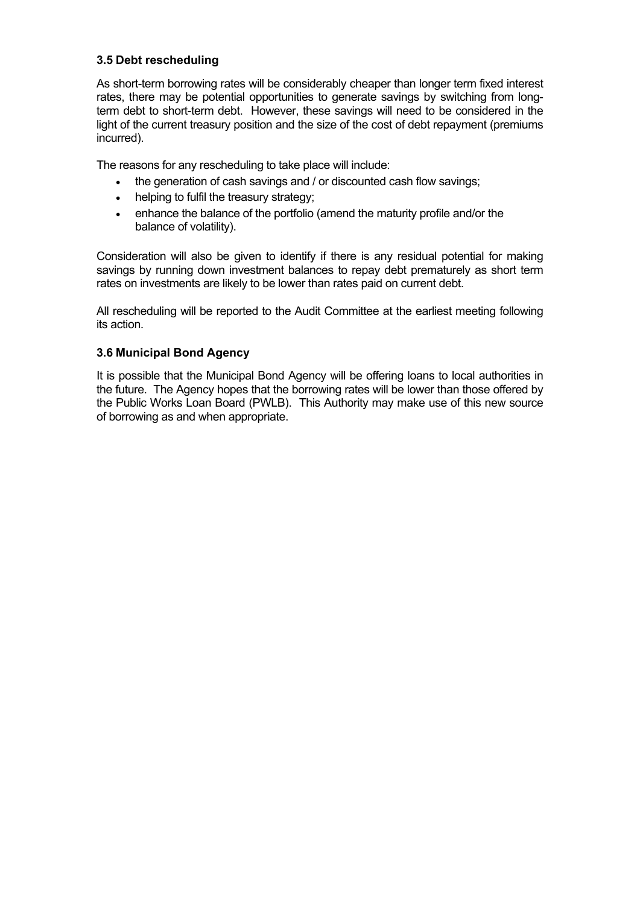## <span id="page-13-0"></span>**3.5 Debt rescheduling**

As short-term borrowing rates will be considerably cheaper than longer term fixed interest rates, there may be potential opportunities to generate savings by switching from longterm debt to short-term debt. However, these savings will need to be considered in the light of the current treasury position and the size of the cost of debt repayment (premiums incurred).

The reasons for any rescheduling to take place will include:

- the generation of cash savings and / or discounted cash flow savings;
- helping to fulfil the treasury strategy;
- enhance the balance of the portfolio (amend the maturity profile and/or the balance of volatility).

Consideration will also be given to identify if there is any residual potential for making savings by running down investment balances to repay debt prematurely as short term rates on investments are likely to be lower than rates paid on current debt.

All rescheduling will be reported to the Audit Committee at the earliest meeting following its action.

## **3.6 Municipal Bond Agency**

It is possible that the Municipal Bond Agency will be offering loans to local authorities in the future. The Agency hopes that the borrowing rates will be lower than those offered by the Public Works Loan Board (PWLB). This Authority may make use of this new source of borrowing as and when appropriate.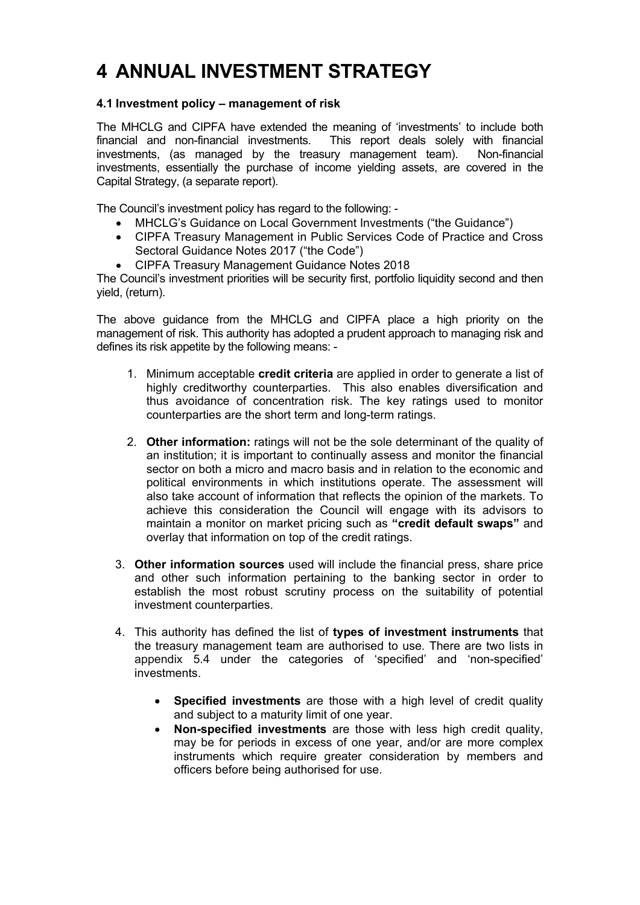## <span id="page-14-0"></span>**4 ANNUAL INVESTMENT STRATEGY**

## <span id="page-14-1"></span>**4.1 Investment policy – management of risk**

The MHCLG and CIPFA have extended the meaning of 'investments' to include both financial and non-financial investments. This report deals solely with financial investments, (as managed by the treasury management team). Non-financial investments, essentially the purchase of income yielding assets, are covered in the Capital Strategy, (a separate report).

The Council's investment policy has regard to the following: -

- MHCLG's Guidance on Local Government Investments ("the Guidance")
- CIPFA Treasury Management in Public Services Code of Practice and Cross Sectoral Guidance Notes 2017 ("the Code")
- CIPFA Treasury Management Guidance Notes 2018

The Council's investment priorities will be security first, portfolio liquidity second and then yield, (return).

The above guidance from the MHCLG and CIPFA place a high priority on the management of risk. This authority has adopted a prudent approach to managing risk and defines its risk appetite by the following means: -

- 1. Minimum acceptable **credit criteria** are applied in order to generate a list of highly creditworthy counterparties. This also enables diversification and thus avoidance of concentration risk. The key ratings used to monitor counterparties are the short term and long-term ratings.
- 2. **Other information:** ratings will not be the sole determinant of the quality of an institution; it is important to continually assess and monitor the financial sector on both a micro and macro basis and in relation to the economic and political environments in which institutions operate. The assessment will also take account of information that reflects the opinion of the markets. To achieve this consideration the Council will engage with its advisors to maintain a monitor on market pricing such as **"credit default swaps"** and overlay that information on top of the credit ratings.
- 3. **Other information sources** used will include the financial press, share price and other such information pertaining to the banking sector in order to establish the most robust scrutiny process on the suitability of potential investment counterparties.
- 4. This authority has defined the list of **types of investment instruments** that the treasury management team are authorised to use. There are two lists in appendix 5.4 under the categories of 'specified' and 'non-specified' investments.
	- **Specified investments** are those with a high level of credit quality and subject to a maturity limit of one year.
	- **Non-specified investments** are those with less high credit quality, may be for periods in excess of one year, and/or are more complex instruments which require greater consideration by members and officers before being authorised for use.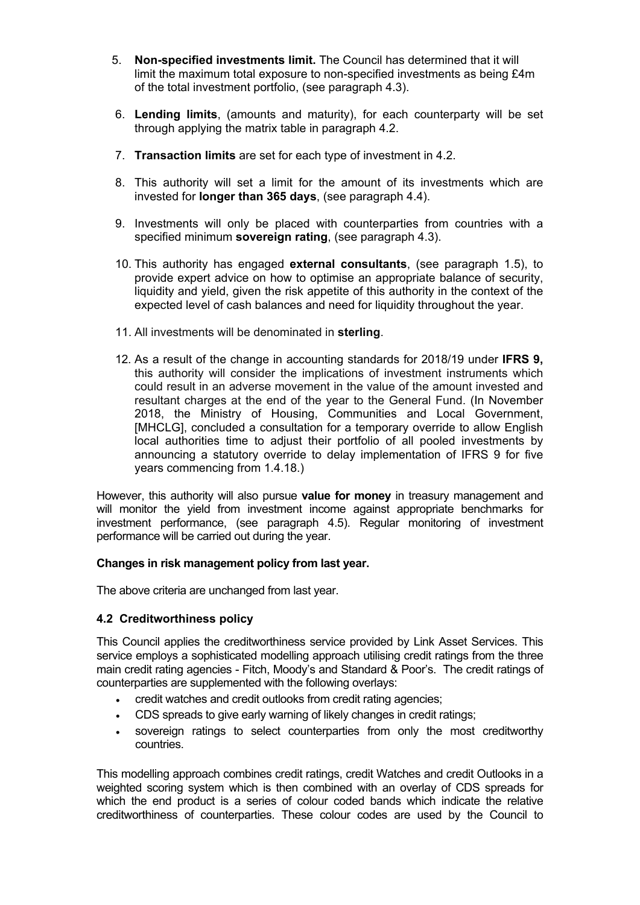- 5. **Non-specified investments limit.** The Council has determined that it will limit the maximum total exposure to non-specified investments as being £4m of the total investment portfolio, (see paragraph 4.3).
- 6. **Lending limits**, (amounts and maturity), for each counterparty will be set through applying the matrix table in paragraph 4.2.
- 7. **Transaction limits** are set for each type of investment in 4.2.
- 8. This authority will set a limit for the amount of its investments which are invested for **longer than 365 days**, (see paragraph 4.4).
- 9. Investments will only be placed with counterparties from countries with a specified minimum **sovereign rating**, (see paragraph 4.3).
- 10. This authority has engaged **external consultants**, (see paragraph 1.5), to provide expert advice on how to optimise an appropriate balance of security, liquidity and yield, given the risk appetite of this authority in the context of the expected level of cash balances and need for liquidity throughout the year.
- 11. All investments will be denominated in **sterling**.
- 12. As a result of the change in accounting standards for 2018/19 under **IFRS 9,** this authority will consider the implications of investment instruments which could result in an adverse movement in the value of the amount invested and resultant charges at the end of the year to the General Fund. (In November 2018, the Ministry of Housing, Communities and Local Government, [MHCLG], concluded a consultation for a temporary override to allow English local authorities time to adjust their portfolio of all pooled investments by announcing a statutory override to delay implementation of IFRS 9 for five years commencing from 1.4.18.)

However, this authority will also pursue **value for money** in treasury management and will monitor the yield from investment income against appropriate benchmarks for investment performance, (see paragraph 4.5). Regular monitoring of investment performance will be carried out during the year.

#### **Changes in risk management policy from last year.**

<span id="page-15-0"></span>The above criteria are unchanged from last year.

## **4.2 Creditworthiness policy**

This Council applies the creditworthiness service provided by Link Asset Services. This service employs a sophisticated modelling approach utilising credit ratings from the three main credit rating agencies - Fitch, Moody's and Standard & Poor's. The credit ratings of counterparties are supplemented with the following overlays:

- credit watches and credit outlooks from credit rating agencies;
- CDS spreads to give early warning of likely changes in credit ratings;
- sovereign ratings to select counterparties from only the most creditworthy countries.

This modelling approach combines credit ratings, credit Watches and credit Outlooks in a weighted scoring system which is then combined with an overlay of CDS spreads for which the end product is a series of colour coded bands which indicate the relative creditworthiness of counterparties. These colour codes are used by the Council to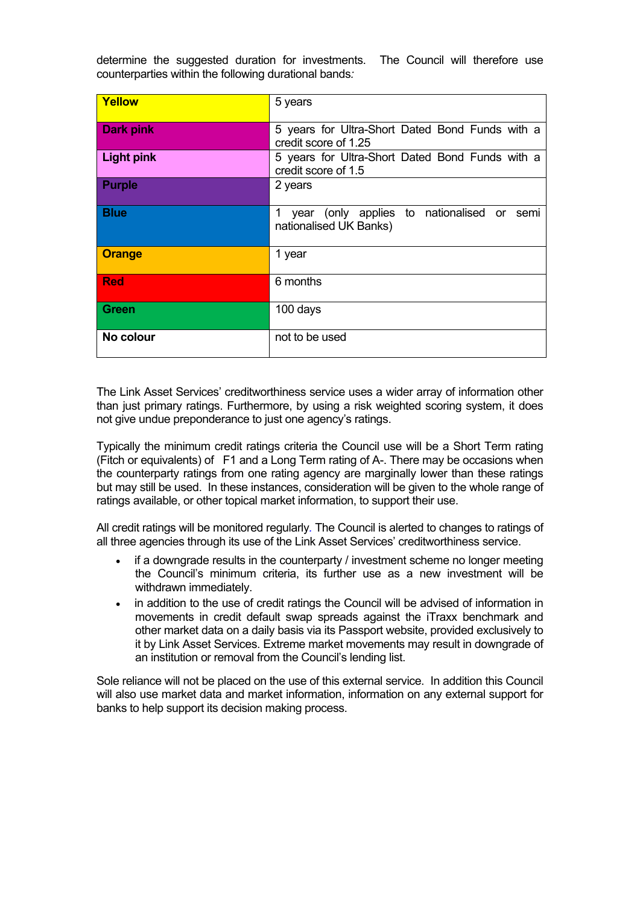determine the suggested duration for investments. The Council will therefore use counterparties within the following durational bands*:*

| Yellow            | 5 years                                                                   |
|-------------------|---------------------------------------------------------------------------|
| <b>Dark pink</b>  | 5 years for Ultra-Short Dated Bond Funds with a<br>credit score of 1.25   |
| <b>Light pink</b> | 5 years for Ultra-Short Dated Bond Funds with a<br>credit score of 1.5    |
| <b>Purple</b>     | 2 years                                                                   |
| <b>Blue</b>       | year (only applies to nationalised or semi<br>1<br>nationalised UK Banks) |
| <b>Orange</b>     | 1 year                                                                    |
| <b>Red</b>        | 6 months                                                                  |
| <b>Green</b>      | 100 days                                                                  |
| No colour         | not to be used                                                            |

The Link Asset Services' creditworthiness service uses a wider array of information other than just primary ratings. Furthermore, by using a risk weighted scoring system, it does not give undue preponderance to just one agency's ratings.

Typically the minimum credit ratings criteria the Council use will be a Short Term rating (Fitch or equivalents) of F1 and a Long Term rating of A-. There may be occasions when the counterparty ratings from one rating agency are marginally lower than these ratings but may still be used. In these instances, consideration will be given to the whole range of ratings available, or other topical market information, to support their use.

All credit ratings will be monitored regularly*.* The Council is alerted to changes to ratings of all three agencies through its use of the Link Asset Services' creditworthiness service.

- if a downgrade results in the counterparty / investment scheme no longer meeting the Council's minimum criteria, its further use as a new investment will be withdrawn immediately.
- in addition to the use of credit ratings the Council will be advised of information in movements in credit default swap spreads against the iTraxx benchmark and other market data on a daily basis via its Passport website, provided exclusively to it by Link Asset Services. Extreme market movements may result in downgrade of an institution or removal from the Council's lending list.

Sole reliance will not be placed on the use of this external service. In addition this Council will also use market data and market information, information on any external support for banks to help support its decision making process.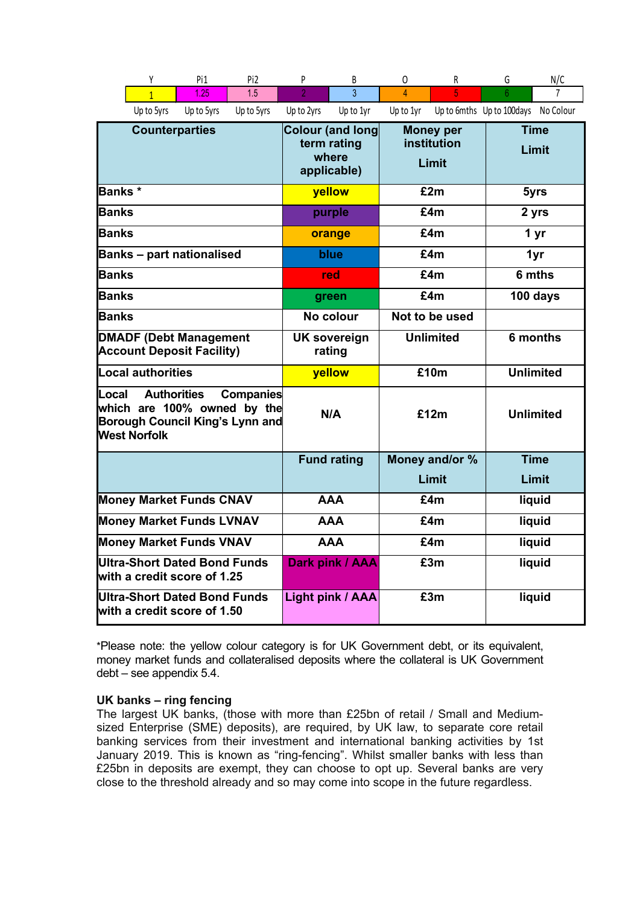|                                                                                                                                          | Υ                 | Pi1                                                                | Pi <sub>2</sub>        | P                                        | B                       | 0                    | R      | G                                   | N/C              |  |
|------------------------------------------------------------------------------------------------------------------------------------------|-------------------|--------------------------------------------------------------------|------------------------|------------------------------------------|-------------------------|----------------------|--------|-------------------------------------|------------------|--|
|                                                                                                                                          | $\overline{1}$    | 1.25                                                               | 1.5                    | $\overline{2}$                           | 3                       | $\overline{4}$       | 5      | 6                                   |                  |  |
|                                                                                                                                          | Up to 5yrs        | Up to 5yrs                                                         | Up to 5yrs             | Up to 2yrs                               | Up to 1yr               | Up to 1yr            |        | Up to 6mths Up to 100days No Colour |                  |  |
| <b>Counterparties</b>                                                                                                                    |                   | <b>Colour (and long</b><br>term rating<br>where<br>applicable)     |                        | <b>Money per</b><br>institution<br>Limit |                         | <b>Time</b><br>Limit |        |                                     |                  |  |
| Banks *                                                                                                                                  |                   |                                                                    |                        |                                          | yellow                  | £2m                  |        | 5yrs                                |                  |  |
| Banks                                                                                                                                    |                   |                                                                    |                        |                                          | purple                  |                      | £4m    |                                     | 2 yrs            |  |
| <b>Banks</b>                                                                                                                             |                   |                                                                    |                        |                                          | orange                  |                      | £4m    |                                     | 1 yr             |  |
|                                                                                                                                          |                   | <b>Banks - part nationalised</b>                                   |                        |                                          | blue                    |                      | £4m    |                                     | 1yr              |  |
| <b>Banks</b>                                                                                                                             |                   |                                                                    |                        |                                          | red                     |                      | £4m    |                                     | 6 mths           |  |
| <b>Banks</b>                                                                                                                             |                   |                                                                    |                        |                                          | green                   | £4m                  |        | 100 days                            |                  |  |
| Banks                                                                                                                                    |                   |                                                                    |                        | No colour                                |                         | Not to be used       |        |                                     |                  |  |
| <b>DMADF (Debt Management</b><br><b>Account Deposit Facility)</b>                                                                        |                   | <b>UK sovereign</b><br>rating                                      |                        | <b>Unlimited</b>                         |                         | 6 months             |        |                                     |                  |  |
|                                                                                                                                          | Local authorities |                                                                    |                        | yellow                                   |                         |                      | £10m   |                                     | <b>Unlimited</b> |  |
| Local<br><b>Authorities</b><br><b>Companies</b><br>which are 100% owned by the<br>Borough Council King's Lynn and<br><b>West Norfolk</b> |                   | N/A                                                                |                        | £12m                                     |                         | <b>Unlimited</b>     |        |                                     |                  |  |
|                                                                                                                                          |                   |                                                                    |                        |                                          | <b>Fund rating</b>      | Money and/or %       |        |                                     | <b>Time</b>      |  |
|                                                                                                                                          |                   |                                                                    |                        |                                          |                         | Limit                |        | Limit                               |                  |  |
| <b>Money Market Funds CNAV</b>                                                                                                           |                   |                                                                    | <b>AAA</b>             |                                          | £4m                     |                      | liquid |                                     |                  |  |
| <b>Money Market Funds LVNAV</b>                                                                                                          |                   |                                                                    | <b>AAA</b>             | £4m                                      |                         | liquid               |        |                                     |                  |  |
| <b>Money Market Funds VNAV</b>                                                                                                           |                   |                                                                    | <b>AAA</b>             | £4m                                      |                         | liquid               |        |                                     |                  |  |
| Ultra-Short Dated Bond Funds<br>with a credit score of 1.25                                                                              |                   |                                                                    | <b>Dark pink / AAA</b> |                                          | £3m                     |                      | liquid |                                     |                  |  |
|                                                                                                                                          |                   | <b>Ultra-Short Dated Bond Funds</b><br>with a credit score of 1.50 |                        |                                          | <b>Light pink / AAA</b> | £3m                  |        |                                     | liquid           |  |

\*Please note: the yellow colour category is for UK Government debt, or its equivalent, money market funds and collateralised deposits where the collateral is UK Government debt – see appendix 5.4.

#### **UK banks – ring fencing**

The largest UK banks, (those with more than £25bn of retail / Small and Mediumsized Enterprise (SME) deposits), are required, by UK law, to separate core retail banking services from their investment and international banking activities by 1st January 2019. This is known as "ring-fencing". Whilst smaller banks with less than £25bn in deposits are exempt, they can choose to opt up. Several banks are very close to the threshold already and so may come into scope in the future regardless.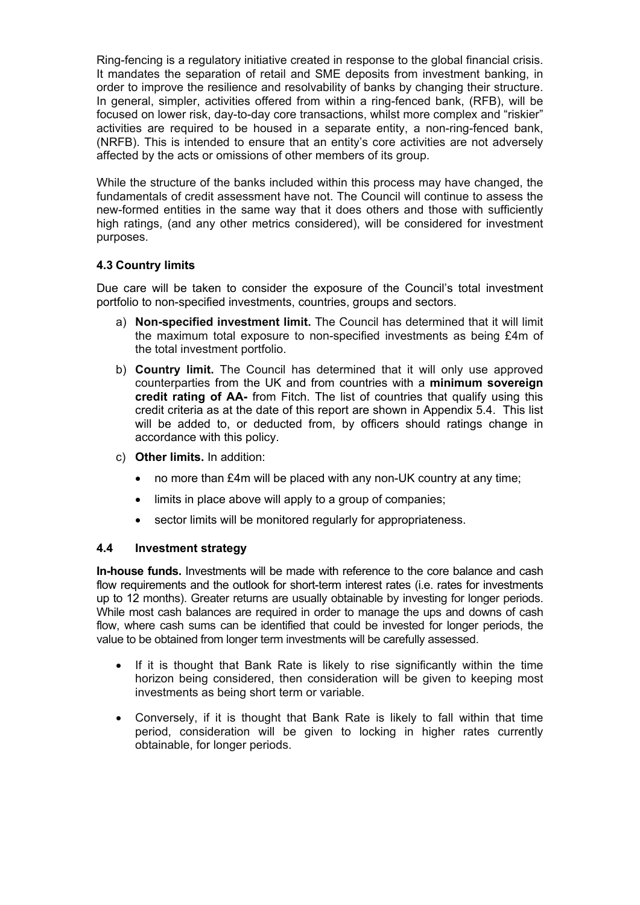Ring-fencing is a regulatory initiative created in response to the global financial crisis. It mandates the separation of retail and SME deposits from investment banking, in order to improve the resilience and resolvability of banks by changing their structure. In general, simpler, activities offered from within a ring-fenced bank, (RFB), will be focused on lower risk, day-to-day core transactions, whilst more complex and "riskier" activities are required to be housed in a separate entity, a non-ring-fenced bank, (NRFB). This is intended to ensure that an entity's core activities are not adversely affected by the acts or omissions of other members of its group.

While the structure of the banks included within this process may have changed, the fundamentals of credit assessment have not. The Council will continue to assess the new-formed entities in the same way that it does others and those with sufficiently high ratings, (and any other metrics considered), will be considered for investment purposes.

## <span id="page-18-0"></span>**4.3 Country limits**

Due care will be taken to consider the exposure of the Council's total investment portfolio to non-specified investments, countries, groups and sectors.

- a) **Non-specified investment limit.** The Council has determined that it will limit the maximum total exposure to non-specified investments as being £4m of the total investment portfolio.
- b) **Country limit.** The Council has determined that it will only use approved counterparties from the UK and from countries with a **minimum sovereign credit rating of AA-** from Fitch. The list of countries that qualify using this credit criteria as at the date of this report are shown in Appendix 5.4. This list will be added to, or deducted from, by officers should ratings change in accordance with this policy.
- c) **Other limits.** In addition:
	- no more than £4m will be placed with any non-UK country at any time;
	- limits in place above will apply to a group of companies;
	- sector limits will be monitored regularly for appropriateness.

## <span id="page-18-1"></span>**4.4 Investment strategy**

**In-house funds.** Investments will be made with reference to the core balance and cash flow requirements and the outlook for short-term interest rates (i.e. rates for investments up to 12 months). Greater returns are usually obtainable by investing for longer periods. While most cash balances are required in order to manage the ups and downs of cash flow, where cash sums can be identified that could be invested for longer periods, the value to be obtained from longer term investments will be carefully assessed.

- If it is thought that Bank Rate is likely to rise significantly within the time horizon being considered, then consideration will be given to keeping most investments as being short term or variable.
- Conversely, if it is thought that Bank Rate is likely to fall within that time period, consideration will be given to locking in higher rates currently obtainable, for longer periods.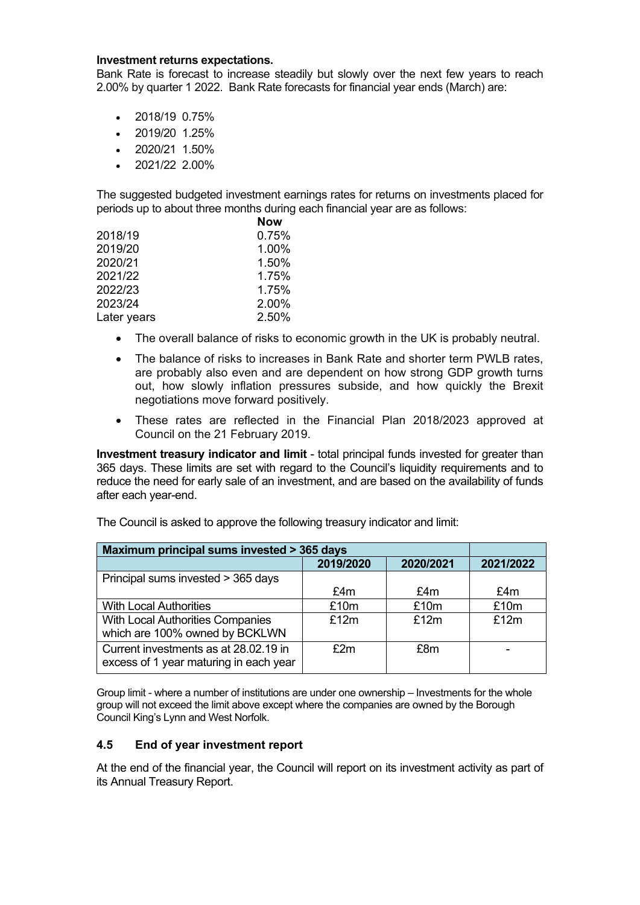#### **Investment returns expectations.**

Bank Rate is forecast to increase steadily but slowly over the next few years to reach 2.00% by quarter 1 2022. Bank Rate forecasts for financial year ends (March) are:

- 2018/19 0.75%
- 2019/20 1.25%
- $\bullet$  2020/21 1.50%
- 2021/22 2.00%

The suggested budgeted investment earnings rates for returns on investments placed for periods up to about three months during each financial year are as follows:

|             | <b>Now</b> |
|-------------|------------|
| 2018/19     | 0.75%      |
| 2019/20     | 1.00%      |
| 2020/21     | 1.50%      |
| 2021/22     | 1.75%      |
| 2022/23     | 1.75%      |
| 2023/24     | 2.00%      |
| Later years | 2.50%      |

- The overall balance of risks to economic growth in the UK is probably neutral.
- The balance of risks to increases in Bank Rate and shorter term PWLB rates, are probably also even and are dependent on how strong GDP growth turns out, how slowly inflation pressures subside, and how quickly the Brexit negotiations move forward positively.
- These rates are reflected in the Financial Plan 2018/2023 approved at Council on the 21 February 2019.

**Investment treasury indicator and limit** - total principal funds invested for greater than 365 days. These limits are set with regard to the Council's liquidity requirements and to reduce the need for early sale of an investment, and are based on the availability of funds after each year-end.

| Maximum principal sums invested > 365 days |           |           |           |
|--------------------------------------------|-----------|-----------|-----------|
|                                            | 2019/2020 | 2020/2021 | 2021/2022 |
| Principal sums invested > 365 days         |           |           |           |
|                                            | £4m       | £4m       | £4m       |
| <b>With Local Authorities</b>              | £10m      | £10m      | £10m      |
| With Local Authorities Companies           | £12m      | £12m      | £12m      |
| which are 100% owned by BCKLWN             |           |           |           |
| Current investments as at 28.02.19 in      | £2m       | £8m       |           |
| excess of 1 year maturing in each year     |           |           |           |

The Council is asked to approve the following treasury indicator and limit:

Group limit - where a number of institutions are under one ownership – Investments for the whole group will not exceed the limit above except where the companies are owned by the Borough Council King's Lynn and West Norfolk.

#### <span id="page-19-0"></span>**4.5 End of year investment report**

At the end of the financial year, the Council will report on its investment activity as part of its Annual Treasury Report.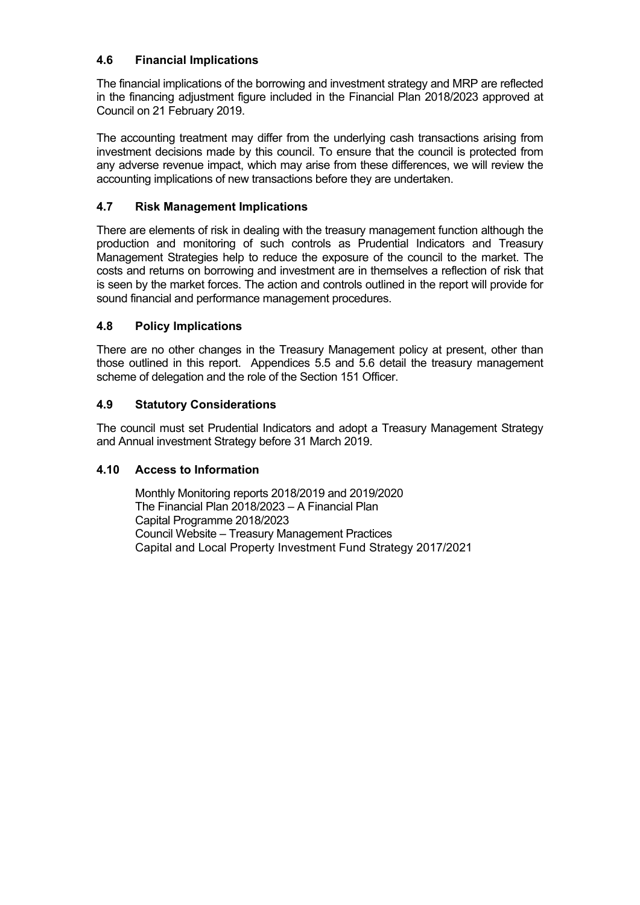## <span id="page-20-0"></span>**4.6 Financial Implications**

The financial implications of the borrowing and investment strategy and MRP are reflected in the financing adjustment figure included in the Financial Plan 2018/2023 approved at Council on 21 February 2019.

The accounting treatment may differ from the underlying cash transactions arising from investment decisions made by this council. To ensure that the council is protected from any adverse revenue impact, which may arise from these differences, we will review the accounting implications of new transactions before they are undertaken.

## <span id="page-20-1"></span>**4.7 Risk Management Implications**

There are elements of risk in dealing with the treasury management function although the production and monitoring of such controls as Prudential Indicators and Treasury Management Strategies help to reduce the exposure of the council to the market. The costs and returns on borrowing and investment are in themselves a reflection of risk that is seen by the market forces. The action and controls outlined in the report will provide for sound financial and performance management procedures.

## <span id="page-20-2"></span>**4.8 Policy Implications**

There are no other changes in the Treasury Management policy at present, other than those outlined in this report. Appendices 5.5 and 5.6 detail the treasury management scheme of delegation and the role of the Section 151 Officer.

## <span id="page-20-3"></span>**4.9 Statutory Considerations**

The council must set Prudential Indicators and adopt a Treasury Management Strategy and Annual investment Strategy before 31 March 2019.

## <span id="page-20-4"></span>**4.10 Access to Information**

Monthly Monitoring reports 2018/2019 and 2019/2020 The Financial Plan 2018/2023 – A Financial Plan Capital Programme 2018/2023 Council Website – Treasury Management Practices Capital and Local Property Investment Fund Strategy 2017/2021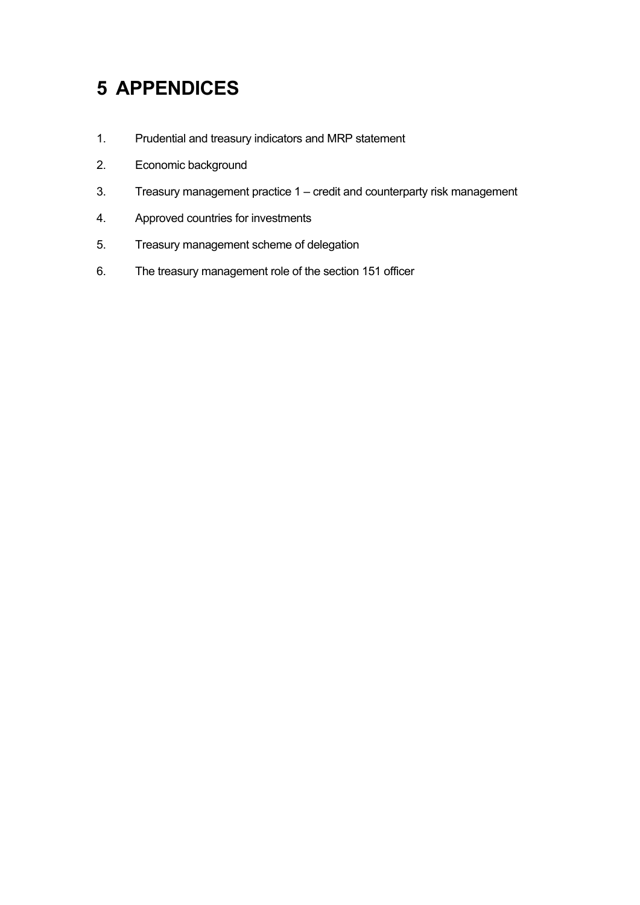## <span id="page-21-0"></span>**5 APPENDICES**

- 1. Prudential and treasury indicators and MRP statement
- 2. Economic background
- 3. Treasury management practice 1 credit and counterparty risk management
- 4. Approved countries for investments
- 5. Treasury management scheme of delegation
- 6. The treasury management role of the section 151 officer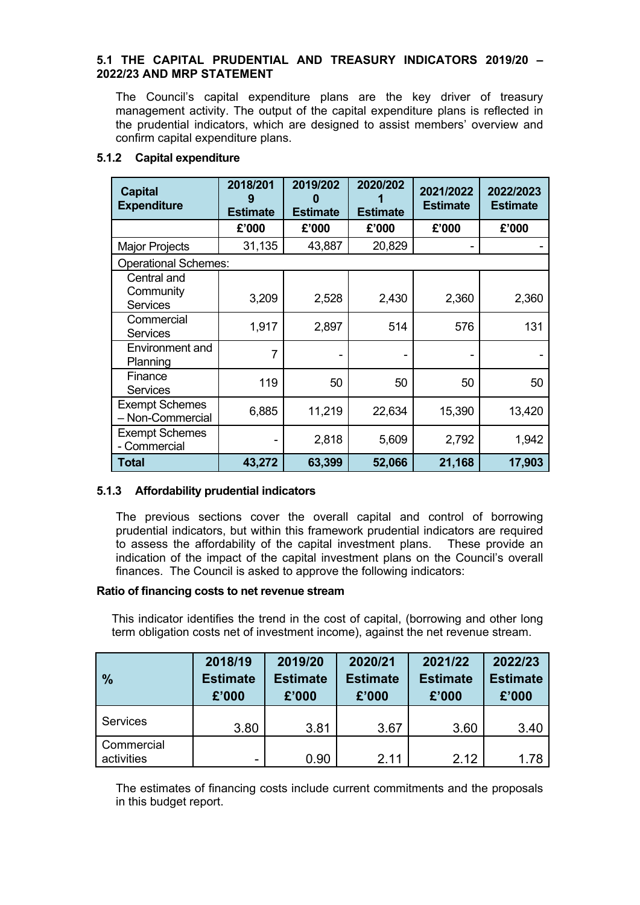#### <span id="page-22-0"></span>**5.1 THE CAPITAL PRUDENTIAL AND TREASURY INDICATORS 2019/20 – 2022/23 AND MRP STATEMENT**

The Council's capital expenditure plans are the key driver of treasury management activity. The output of the capital expenditure plans is reflected in the prudential indicators, which are designed to assist members' overview and confirm capital expenditure plans.

#### **5.1.2 Capital expenditure**

| <b>Capital</b><br><b>Expenditure</b>        | 2018/201<br>9<br><b>Estimate</b> | 2019/202<br><b>Estimate</b> | 2020/202<br><b>Estimate</b> | 2021/2022<br><b>Estimate</b> | 2022/2023<br><b>Estimate</b> |
|---------------------------------------------|----------------------------------|-----------------------------|-----------------------------|------------------------------|------------------------------|
|                                             | £'000                            | £'000                       | £'000                       | £'000                        | £'000                        |
| <b>Major Projects</b>                       | 31,135                           | 43,887                      | 20,829                      |                              |                              |
| <b>Operational Schemes:</b>                 |                                  |                             |                             |                              |                              |
| Central and<br>Community<br><b>Services</b> | 3,209                            | 2,528                       | 2,430                       | 2,360                        | 2,360                        |
| Commercial<br><b>Services</b>               | 1,917                            | 2,897                       | 514                         | 576                          | 131                          |
| Environment and<br>Planning                 | 7                                |                             |                             |                              |                              |
| Finance<br><b>Services</b>                  | 119                              | 50                          | 50                          | 50                           | 50                           |
| <b>Exempt Schemes</b><br>- Non-Commercial   | 6,885                            | 11,219                      | 22,634                      | 15,390                       | 13,420                       |
| <b>Exempt Schemes</b><br>- Commercial       |                                  | 2,818                       | 5,609                       | 2,792                        | 1,942                        |
| Total                                       | 43,272                           | 63,399                      | 52,066                      | 21,168                       | 17,903                       |

## **5.1.3 Affordability prudential indicators**

The previous sections cover the overall capital and control of borrowing prudential indicators, but within this framework prudential indicators are required to assess the affordability of the capital investment plans. These provide an indication of the impact of the capital investment plans on the Council's overall finances. The Council is asked to approve the following indicators:

#### **Ratio of financing costs to net revenue stream**

This indicator identifies the trend in the cost of capital, (borrowing and other long term obligation costs net of investment income), against the net revenue stream.

| $\frac{0}{0}$            | 2018/19<br><b>Estimate</b><br>£'000 | 2019/20<br><b>Estimate</b><br>£'000 | 2020/21<br><b>Estimate</b><br>£'000 | 2021/22<br><b>Estimate</b><br>£'000 | 2022/23<br><b>Estimate</b><br>£'000 |
|--------------------------|-------------------------------------|-------------------------------------|-------------------------------------|-------------------------------------|-------------------------------------|
| Services                 | 3.80                                | 3.81                                | 3.67                                | 3.60                                | 3.40                                |
| Commercial<br>activities | -                                   | 0.90                                | 2.11                                | 2.12                                | 1.78                                |

The estimates of financing costs include current commitments and the proposals in this budget report.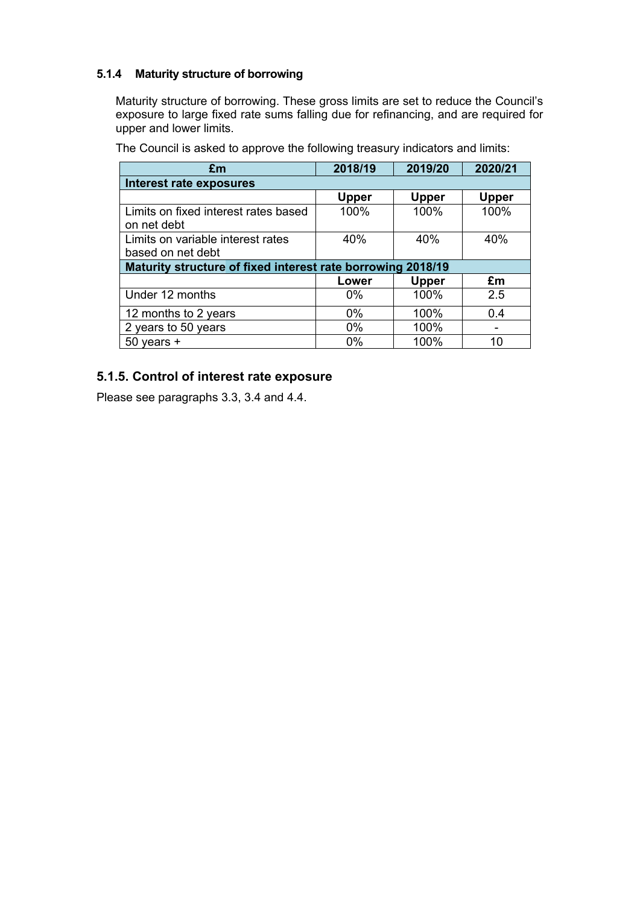## **5.1.4 Maturity structure of borrowing**

Maturity structure of borrowing. These gross limits are set to reduce the Council's exposure to large fixed rate sums falling due for refinancing, and are required for upper and lower limits.

**£m 2018/19 2019/20 2020/21 Interest rate exposures Upper Upper Upper** Limits on fixed interest rates based on net debt 100% 100% 100% Limits on variable interest rates based on net debt 40% 40% 40% **Maturity structure of fixed interest rate borrowing 2018/19 Lower Upper £m** Under 12 months 0% 100% 2.5 12 months to 2 years 0% 100% 0.4 2 years to 50 years 100% 100% -50 years + 0% 100% 100 10

The Council is asked to approve the following treasury indicators and limits:

## **5.1.5. Control of interest rate exposure**

Please see paragraphs 3.3, 3.4 and 4.4.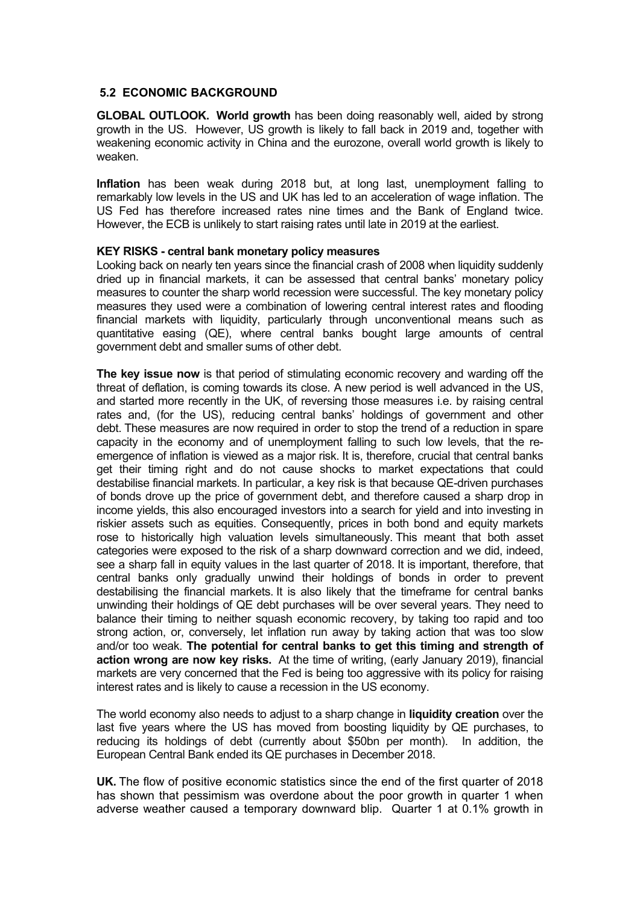#### <span id="page-24-0"></span>**5.2 ECONOMIC BACKGROUND**

**GLOBAL OUTLOOK. World growth** has been doing reasonably well, aided by strong growth in the US. However, US growth is likely to fall back in 2019 and, together with weakening economic activity in China and the eurozone, overall world growth is likely to weaken.

**Inflation** has been weak during 2018 but, at long last, unemployment falling to remarkably low levels in the US and UK has led to an acceleration of wage inflation. The US Fed has therefore increased rates nine times and the Bank of England twice. However, the ECB is unlikely to start raising rates until late in 2019 at the earliest.

#### **KEY RISKS - central bank monetary policy measures**

Looking back on nearly ten years since the financial crash of 2008 when liquidity suddenly dried up in financial markets, it can be assessed that central banks' monetary policy measures to counter the sharp world recession were successful. The key monetary policy measures they used were a combination of lowering central interest rates and flooding financial markets with liquidity, particularly through unconventional means such as quantitative easing (QE), where central banks bought large amounts of central government debt and smaller sums of other debt.

**The key issue now** is that period of stimulating economic recovery and warding off the threat of deflation, is coming towards its close. A new period is well advanced in the US, and started more recently in the UK, of reversing those measures i.e. by raising central rates and, (for the US), reducing central banks' holdings of government and other debt. These measures are now required in order to stop the trend of a reduction in spare capacity in the economy and of unemployment falling to such low levels, that the reemergence of inflation is viewed as a major risk. It is, therefore, crucial that central banks get their timing right and do not cause shocks to market expectations that could destabilise financial markets. In particular, a key risk is that because QE-driven purchases of bonds drove up the price of government debt, and therefore caused a sharp drop in income yields, this also encouraged investors into a search for yield and into investing in riskier assets such as equities. Consequently, prices in both bond and equity markets rose to historically high valuation levels simultaneously. This meant that both asset categories were exposed to the risk of a sharp downward correction and we did, indeed, see a sharp fall in equity values in the last quarter of 2018. It is important, therefore, that central banks only gradually unwind their holdings of bonds in order to prevent destabilising the financial markets. It is also likely that the timeframe for central banks unwinding their holdings of QE debt purchases will be over several years. They need to balance their timing to neither squash economic recovery, by taking too rapid and too strong action, or, conversely, let inflation run away by taking action that was too slow and/or too weak. **The potential for central banks to get this timing and strength of action wrong are now key risks.** At the time of writing, (early January 2019), financial markets are very concerned that the Fed is being too aggressive with its policy for raising interest rates and is likely to cause a recession in the US economy.

The world economy also needs to adjust to a sharp change in **liquidity creation** over the last five years where the US has moved from boosting liquidity by QE purchases, to reducing its holdings of debt (currently about \$50bn per month). In addition, the European Central Bank ended its QE purchases in December 2018.

**UK.** The flow of positive economic statistics since the end of the first quarter of 2018 has shown that pessimism was overdone about the poor growth in quarter 1 when adverse weather caused a temporary downward blip. Quarter 1 at 0.1% growth in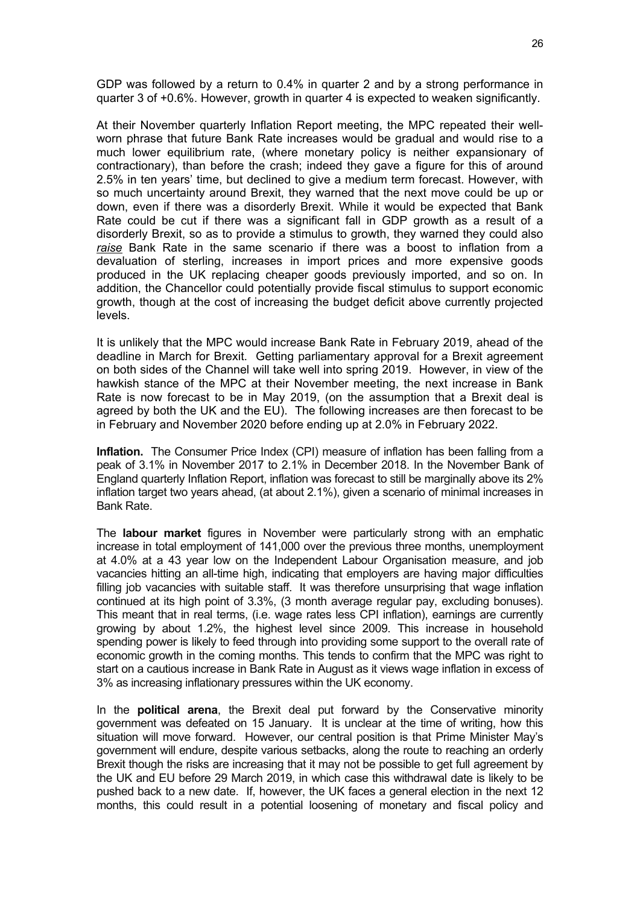GDP was followed by a return to 0.4% in quarter 2 and by a strong performance in quarter 3 of +0.6%. However, growth in quarter 4 is expected to weaken significantly.

At their November quarterly Inflation Report meeting, the MPC repeated their wellworn phrase that future Bank Rate increases would be gradual and would rise to a much lower equilibrium rate, (where monetary policy is neither expansionary of contractionary), than before the crash; indeed they gave a figure for this of around 2.5% in ten years' time, but declined to give a medium term forecast. However, with so much uncertainty around Brexit, they warned that the next move could be up or down, even if there was a disorderly Brexit. While it would be expected that Bank Rate could be cut if there was a significant fall in GDP growth as a result of a disorderly Brexit, so as to provide a stimulus to growth, they warned they could also *raise* Bank Rate in the same scenario if there was a boost to inflation from a devaluation of sterling, increases in import prices and more expensive goods produced in the UK replacing cheaper goods previously imported, and so on. In addition, the Chancellor could potentially provide fiscal stimulus to support economic growth, though at the cost of increasing the budget deficit above currently projected levels.

It is unlikely that the MPC would increase Bank Rate in February 2019, ahead of the deadline in March for Brexit. Getting parliamentary approval for a Brexit agreement on both sides of the Channel will take well into spring 2019. However, in view of the hawkish stance of the MPC at their November meeting, the next increase in Bank Rate is now forecast to be in May 2019, (on the assumption that a Brexit deal is agreed by both the UK and the EU). The following increases are then forecast to be in February and November 2020 before ending up at 2.0% in February 2022.

**Inflation.** The Consumer Price Index (CPI) measure of inflation has been falling from a peak of 3.1% in November 2017 to 2.1% in December 2018. In the November Bank of England quarterly Inflation Report, inflation was forecast to still be marginally above its 2% inflation target two years ahead, (at about 2.1%), given a scenario of minimal increases in Bank Rate.

The **labour market** figures in November were particularly strong with an emphatic increase in total employment of 141,000 over the previous three months, unemployment at 4.0% at a 43 year low on the Independent Labour Organisation measure, and job vacancies hitting an all-time high, indicating that employers are having major difficulties filling job vacancies with suitable staff. It was therefore unsurprising that wage inflation continued at its high point of 3.3%, (3 month average regular pay, excluding bonuses). This meant that in real terms, (i.e. wage rates less CPI inflation), earnings are currently growing by about 1.2%, the highest level since 2009. This increase in household spending power is likely to feed through into providing some support to the overall rate of economic growth in the coming months. This tends to confirm that the MPC was right to start on a cautious increase in Bank Rate in August as it views wage inflation in excess of 3% as increasing inflationary pressures within the UK economy.

In the **political arena**, the Brexit deal put forward by the Conservative minority government was defeated on 15 January. It is unclear at the time of writing, how this situation will move forward. However, our central position is that Prime Minister May's government will endure, despite various setbacks, along the route to reaching an orderly Brexit though the risks are increasing that it may not be possible to get full agreement by the UK and EU before 29 March 2019, in which case this withdrawal date is likely to be pushed back to a new date. If, however, the UK faces a general election in the next 12 months, this could result in a potential loosening of monetary and fiscal policy and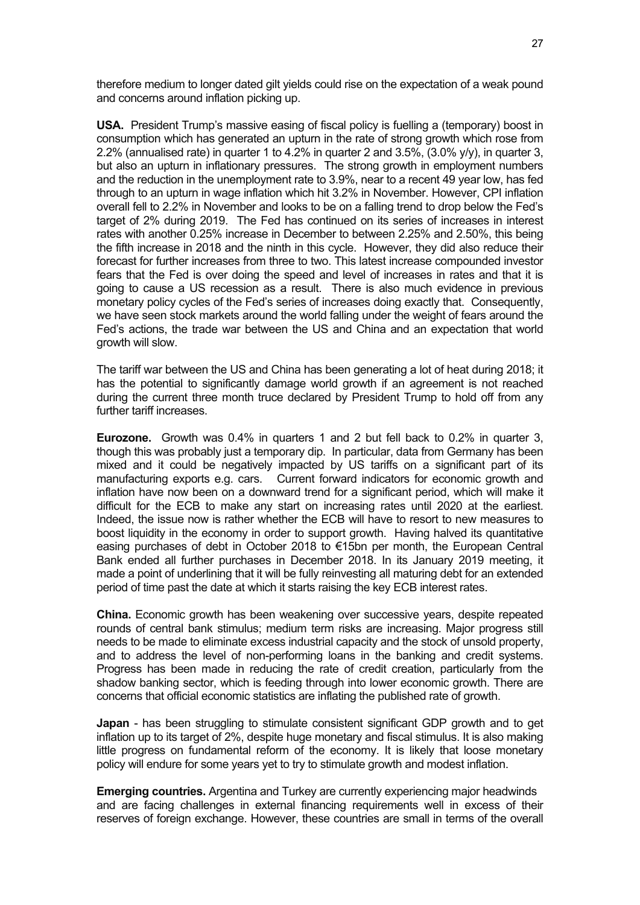therefore medium to longer dated gilt yields could rise on the expectation of a weak pound and concerns around inflation picking up.

**USA.** President Trump's massive easing of fiscal policy is fuelling a (temporary) boost in consumption which has generated an upturn in the rate of strong growth which rose from 2.2% (annualised rate) in quarter 1 to 4.2% in quarter 2 and 3.5%, (3.0% y/y), in quarter 3, but also an upturn in inflationary pressures. The strong growth in employment numbers and the reduction in the unemployment rate to 3.9%, near to a recent 49 year low, has fed through to an upturn in wage inflation which hit 3.2% in November. However, CPI inflation overall fell to 2.2% in November and looks to be on a falling trend to drop below the Fed's target of 2% during 2019. The Fed has continued on its series of increases in interest rates with another 0.25% increase in December to between 2.25% and 2.50%, this being the fifth increase in 2018 and the ninth in this cycle. However, they did also reduce their forecast for further increases from three to two. This latest increase compounded investor fears that the Fed is over doing the speed and level of increases in rates and that it is going to cause a US recession as a result. There is also much evidence in previous monetary policy cycles of the Fed's series of increases doing exactly that. Consequently, we have seen stock markets around the world falling under the weight of fears around the Fed's actions, the trade war between the US and China and an expectation that world growth will slow.

The tariff war between the US and China has been generating a lot of heat during 2018; it has the potential to significantly damage world growth if an agreement is not reached during the current three month truce declared by President Trump to hold off from any further tariff increases.

**Eurozone.** Growth was 0.4% in quarters 1 and 2 but fell back to 0.2% in quarter 3, though this was probably just a temporary dip. In particular, data from Germany has been mixed and it could be negatively impacted by US tariffs on a significant part of its manufacturing exports e.g. cars. Current forward indicators for economic growth and inflation have now been on a downward trend for a significant period, which will make it difficult for the ECB to make any start on increasing rates until 2020 at the earliest. Indeed, the issue now is rather whether the ECB will have to resort to new measures to boost liquidity in the economy in order to support growth. Having halved its quantitative easing purchases of debt in October 2018 to €15bn per month, the European Central Bank ended all further purchases in December 2018. In its January 2019 meeting, it made a point of underlining that it will be fully reinvesting all maturing debt for an extended period of time past the date at which it starts raising the key ECB interest rates.

**China.** Economic growth has been weakening over successive years, despite repeated rounds of central bank stimulus; medium term risks are increasing. Major progress still needs to be made to eliminate excess industrial capacity and the stock of unsold property, and to address the level of non-performing loans in the banking and credit systems. Progress has been made in reducing the rate of credit creation, particularly from the shadow banking sector, which is feeding through into lower economic growth. There are concerns that official economic statistics are inflating the published rate of growth.

**Japan** - has been struggling to stimulate consistent significant GDP growth and to get inflation up to its target of 2%, despite huge monetary and fiscal stimulus. It is also making little progress on fundamental reform of the economy. It is likely that loose monetary policy will endure for some years yet to try to stimulate growth and modest inflation.

**Emerging countries.** Argentina and Turkey are currently experiencing major headwinds and are facing challenges in external financing requirements well in excess of their reserves of foreign exchange. However, these countries are small in terms of the overall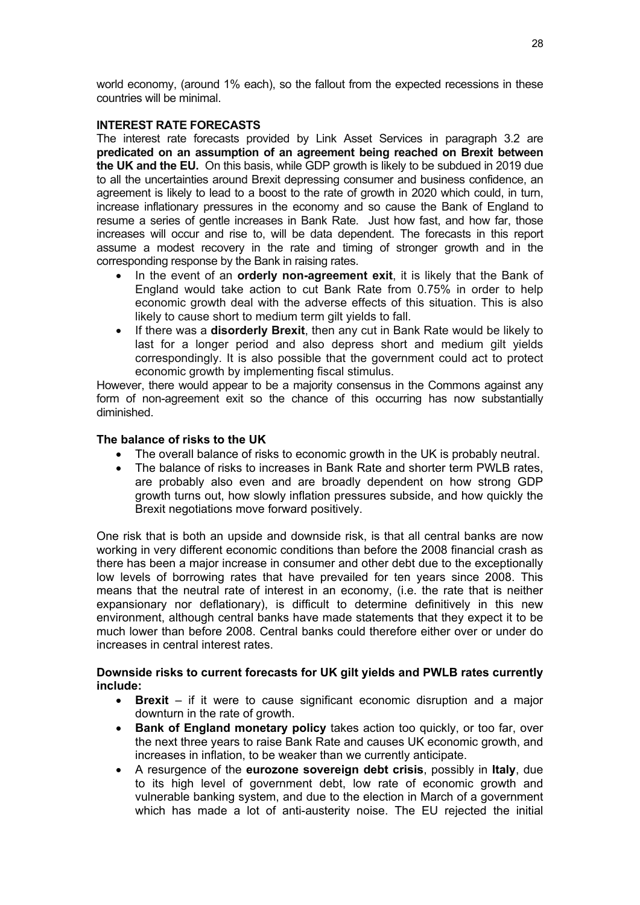world economy, (around 1% each), so the fallout from the expected recessions in these countries will be minimal.

#### **INTEREST RATE FORECASTS**

The interest rate forecasts provided by Link Asset Services in paragraph 3.2 are **predicated on an assumption of an agreement being reached on Brexit between the UK and the EU.** On this basis, while GDP growth is likely to be subdued in 2019 due to all the uncertainties around Brexit depressing consumer and business confidence, an agreement is likely to lead to a boost to the rate of growth in 2020 which could, in turn, increase inflationary pressures in the economy and so cause the Bank of England to resume a series of gentle increases in Bank Rate. Just how fast, and how far, those increases will occur and rise to, will be data dependent. The forecasts in this report assume a modest recovery in the rate and timing of stronger growth and in the corresponding response by the Bank in raising rates.

- In the event of an **orderly non-agreement exit**, it is likely that the Bank of England would take action to cut Bank Rate from 0.75% in order to help economic growth deal with the adverse effects of this situation. This is also likely to cause short to medium term gilt yields to fall.
- If there was a **disorderly Brexit**, then any cut in Bank Rate would be likely to last for a longer period and also depress short and medium gilt yields correspondingly. It is also possible that the government could act to protect economic growth by implementing fiscal stimulus.

However, there would appear to be a majority consensus in the Commons against any form of non-agreement exit so the chance of this occurring has now substantially diminished.

#### **The balance of risks to the UK**

- The overall balance of risks to economic growth in the UK is probably neutral.
- The balance of risks to increases in Bank Rate and shorter term PWLB rates, are probably also even and are broadly dependent on how strong GDP growth turns out, how slowly inflation pressures subside, and how quickly the Brexit negotiations move forward positively.

One risk that is both an upside and downside risk, is that all central banks are now working in very different economic conditions than before the 2008 financial crash as there has been a major increase in consumer and other debt due to the exceptionally low levels of borrowing rates that have prevailed for ten years since 2008. This means that the neutral rate of interest in an economy, (i.e. the rate that is neither expansionary nor deflationary), is difficult to determine definitively in this new environment, although central banks have made statements that they expect it to be much lower than before 2008. Central banks could therefore either over or under do increases in central interest rates.

## **Downside risks to current forecasts for UK gilt yields and PWLB rates currently include:**

- **Brexit** if it were to cause significant economic disruption and a major downturn in the rate of growth.
- **Bank of England monetary policy** takes action too quickly, or too far, over the next three years to raise Bank Rate and causes UK economic growth, and increases in inflation, to be weaker than we currently anticipate.
- A resurgence of the **eurozone sovereign debt crisis**, possibly in **Italy**, due to its high level of government debt, low rate of economic growth and vulnerable banking system, and due to the election in March of a government which has made a lot of anti-austerity noise. The EU rejected the initial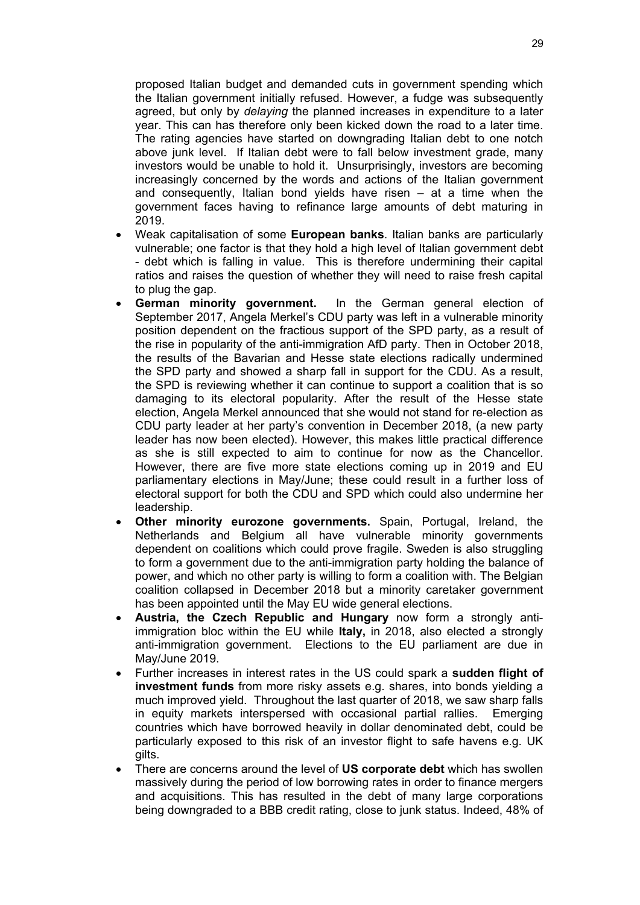proposed Italian budget and demanded cuts in government spending which the Italian government initially refused. However, a fudge was subsequently agreed, but only by *delaying* the planned increases in expenditure to a later year. This can has therefore only been kicked down the road to a later time. The rating agencies have started on downgrading Italian debt to one notch above junk level. If Italian debt were to fall below investment grade, many investors would be unable to hold it. Unsurprisingly, investors are becoming increasingly concerned by the words and actions of the Italian government and consequently, Italian bond yields have risen – at a time when the government faces having to refinance large amounts of debt maturing in 2019.

- Weak capitalisation of some **European banks**. Italian banks are particularly vulnerable; one factor is that they hold a high level of Italian government debt - debt which is falling in value. This is therefore undermining their capital ratios and raises the question of whether they will need to raise fresh capital to plug the gap.
- **German minority government.** In the German general election of September 2017, Angela Merkel's CDU party was left in a vulnerable minority position dependent on the fractious support of the SPD party, as a result of the rise in popularity of the anti-immigration AfD party. Then in October 2018, the results of the Bavarian and Hesse state elections radically undermined the SPD party and showed a sharp fall in support for the CDU. As a result, the SPD is reviewing whether it can continue to support a coalition that is so damaging to its electoral popularity. After the result of the Hesse state election, Angela Merkel announced that she would not stand for re-election as CDU party leader at her party's convention in December 2018, (a new party leader has now been elected). However, this makes little practical difference as she is still expected to aim to continue for now as the Chancellor. However, there are five more state elections coming up in 2019 and EU parliamentary elections in May/June; these could result in a further loss of electoral support for both the CDU and SPD which could also undermine her leadership.
- **Other minority eurozone governments.** Spain, Portugal, Ireland, the Netherlands and Belgium all have vulnerable minority governments dependent on coalitions which could prove fragile. Sweden is also struggling to form a government due to the anti-immigration party holding the balance of power, and which no other party is willing to form a coalition with. The Belgian coalition collapsed in December 2018 but a minority caretaker government has been appointed until the May EU wide general elections.
- **Austria, the Czech Republic and Hungary** now form a strongly antiimmigration bloc within the EU while **Italy,** in 2018, also elected a strongly anti-immigration government. Elections to the EU parliament are due in May/June 2019.
- Further increases in interest rates in the US could spark a **sudden flight of investment funds** from more risky assets e.g. shares, into bonds yielding a much improved yield. Throughout the last quarter of 2018, we saw sharp falls in equity markets interspersed with occasional partial rallies. Emerging countries which have borrowed heavily in dollar denominated debt, could be particularly exposed to this risk of an investor flight to safe havens e.g. UK gilts.
- There are concerns around the level of **US corporate debt** which has swollen massively during the period of low borrowing rates in order to finance mergers and acquisitions. This has resulted in the debt of many large corporations being downgraded to a BBB credit rating, close to junk status. Indeed, 48% of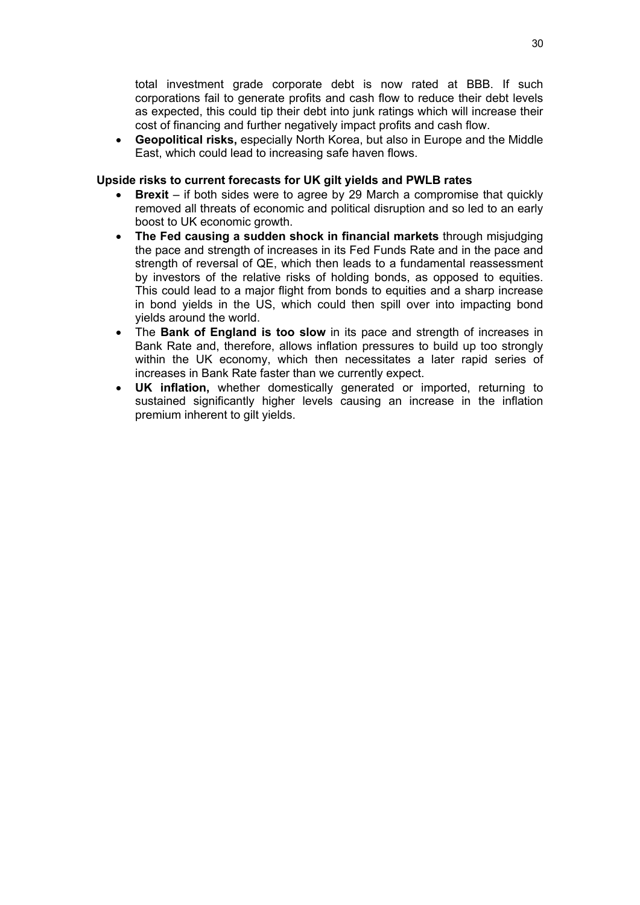total investment grade corporate debt is now rated at BBB. If such corporations fail to generate profits and cash flow to reduce their debt levels as expected, this could tip their debt into junk ratings which will increase their cost of financing and further negatively impact profits and cash flow.

 **Geopolitical risks,** especially North Korea, but also in Europe and the Middle East, which could lead to increasing safe haven flows.

#### **Upside risks to current forecasts for UK gilt yields and PWLB rates**

- **Brexit** if both sides were to agree by 29 March a compromise that quickly removed all threats of economic and political disruption and so led to an early boost to UK economic growth.
- **The Fed causing a sudden shock in financial markets** through misjudging the pace and strength of increases in its Fed Funds Rate and in the pace and strength of reversal of QE, which then leads to a fundamental reassessment by investors of the relative risks of holding bonds, as opposed to equities. This could lead to a major flight from bonds to equities and a sharp increase in bond yields in the US, which could then spill over into impacting bond yields around the world.
- The **Bank of England is too slow** in its pace and strength of increases in Bank Rate and, therefore, allows inflation pressures to build up too strongly within the UK economy, which then necessitates a later rapid series of increases in Bank Rate faster than we currently expect.
- **UK inflation,** whether domestically generated or imported, returning to sustained significantly higher levels causing an increase in the inflation premium inherent to gilt yields.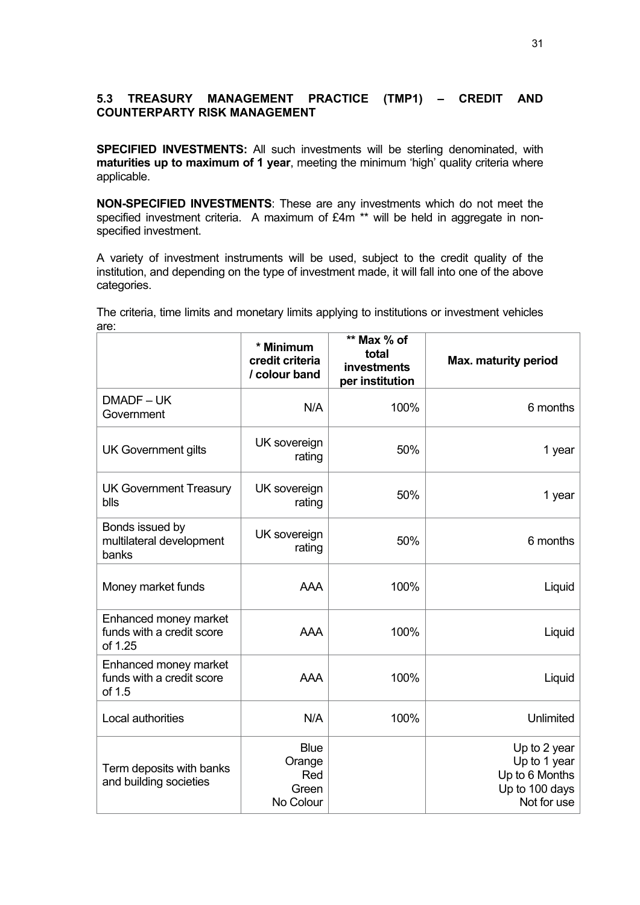## <span id="page-30-0"></span>**5.3 TREASURY MANAGEMENT PRACTICE (TMP1) – CREDIT AND COUNTERPARTY RISK MANAGEMENT**

**SPECIFIED INVESTMENTS:** All such investments will be sterling denominated, with **maturities up to maximum of 1 year**, meeting the minimum 'high' quality criteria where applicable.

**NON-SPECIFIED INVESTMENTS**: These are any investments which do not meet the specified investment criteria. A maximum of £4m \*\* will be held in aggregate in nonspecified investment.

A variety of investment instruments will be used, subject to the credit quality of the institution, and depending on the type of investment made, it will fall into one of the above categories.

|                                                               | * Minimum<br>credit criteria<br>/ colour band      | ** Max % of<br>total<br>investments<br>per institution | Max. maturity period                                                            |
|---------------------------------------------------------------|----------------------------------------------------|--------------------------------------------------------|---------------------------------------------------------------------------------|
| DMADF-UK<br>Government                                        | N/A                                                | 100%                                                   | 6 months                                                                        |
| <b>UK Government gilts</b>                                    | UK sovereign<br>rating                             | 50%                                                    | 1 year                                                                          |
| <b>UK Government Treasury</b><br>blls                         | UK sovereign<br>rating                             | 50%                                                    | 1 year                                                                          |
| Bonds issued by<br>multilateral development<br>banks          | UK sovereign<br>rating                             | 50%                                                    | 6 months                                                                        |
| Money market funds                                            | <b>AAA</b>                                         | 100%                                                   | Liquid                                                                          |
| Enhanced money market<br>funds with a credit score<br>of 1.25 | <b>AAA</b>                                         | 100%                                                   | Liquid                                                                          |
| Enhanced money market<br>funds with a credit score<br>of 1.5  | <b>AAA</b>                                         | 100%                                                   | Liquid                                                                          |
| Local authorities                                             | N/A                                                | 100%                                                   | Unlimited                                                                       |
| Term deposits with banks<br>and building societies            | <b>Blue</b><br>Orange<br>Red<br>Green<br>No Colour |                                                        | Up to 2 year<br>Up to 1 year<br>Up to 6 Months<br>Up to 100 days<br>Not for use |

The criteria, time limits and monetary limits applying to institutions or investment vehicles are: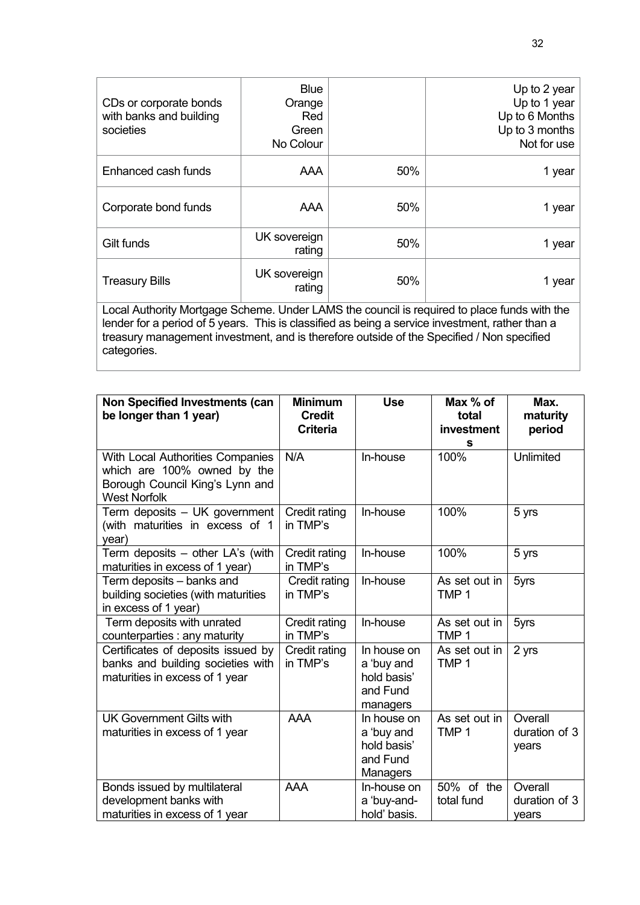| CDs or corporate bonds<br>with banks and building<br>societies                                                                                                                                 | <b>Blue</b><br>Orange<br><b>Red</b><br>Green<br>No Colour |     | Up to 2 year<br>Up to 1 year<br>Up to 6 Months<br>Up to 3 months<br>Not for use |  |  |
|------------------------------------------------------------------------------------------------------------------------------------------------------------------------------------------------|-----------------------------------------------------------|-----|---------------------------------------------------------------------------------|--|--|
| Enhanced cash funds                                                                                                                                                                            | AAA                                                       | 50% | 1 year                                                                          |  |  |
| Corporate bond funds                                                                                                                                                                           | <b>AAA</b>                                                | 50% | 1 year                                                                          |  |  |
| Gilt funds                                                                                                                                                                                     | UK sovereign<br>rating                                    | 50% | 1 year                                                                          |  |  |
| <b>Treasury Bills</b>                                                                                                                                                                          | UK sovereign<br>rating                                    | 50% | 1 year                                                                          |  |  |
| Local Authority Mortgage Scheme. Under LAMS the council is required to place funds with the<br>lender for a period of 5 years. This is classified as being a sensice investment, rather than a |                                                           |     |                                                                                 |  |  |

lender for a period of 5 years. This is classified as being a service investment, rather than a treasury management investment, and is therefore outside of the Specified / Non specified categories.

| <b>Non Specified Investments (can</b><br>be longer than 1 year)                                                           | <b>Minimum</b><br><b>Credit</b><br><b>Criteria</b> | <b>Use</b>                                                              | Max % of<br>total<br>investment<br>s | Max.<br>maturity<br>period        |
|---------------------------------------------------------------------------------------------------------------------------|----------------------------------------------------|-------------------------------------------------------------------------|--------------------------------------|-----------------------------------|
| With Local Authorities Companies<br>which are 100% owned by the<br>Borough Council King's Lynn and<br><b>West Norfolk</b> | N/A                                                | In-house                                                                | 100%                                 | Unlimited                         |
| Term deposits - UK government<br>(with maturities in excess of 1<br>year)                                                 | Credit rating<br>in TMP's                          | In-house                                                                | 100%                                 | 5 yrs                             |
| Term deposits - other LA's (with<br>maturities in excess of 1 year)                                                       | Credit rating<br>in TMP's                          | In-house                                                                | 100%                                 | 5 yrs                             |
| Term deposits - banks and<br>building societies (with maturities<br>in excess of 1 year)                                  | Credit rating<br>in TMP's                          | In-house                                                                | As set out in<br>TMP <sub>1</sub>    | 5yrs                              |
| Term deposits with unrated<br>counterparties : any maturity                                                               | Credit rating<br>in TMP's                          | In-house                                                                | As set out in<br>TMP <sub>1</sub>    | 5yrs                              |
| Certificates of deposits issued by<br>banks and building societies with<br>maturities in excess of 1 year                 | Credit rating<br>in TMP's                          | In house on<br>a 'buy and<br>hold basis'<br>and Fund<br>managers        | As set out in<br>TMP <sub>1</sub>    | 2 yrs                             |
| <b>UK Government Gilts with</b><br>maturities in excess of 1 year                                                         | <b>AAA</b>                                         | In house on<br>a 'buy and<br>hold basis'<br>and Fund<br><b>Managers</b> | As set out in<br>TMP <sub>1</sub>    | Overall<br>duration of 3<br>years |
| Bonds issued by multilateral<br>development banks with<br>maturities in excess of 1 year                                  | <b>AAA</b>                                         | In-house on<br>a 'buy-and-<br>hold' basis.                              | 50% of the<br>total fund             | Overall<br>duration of 3<br>vears |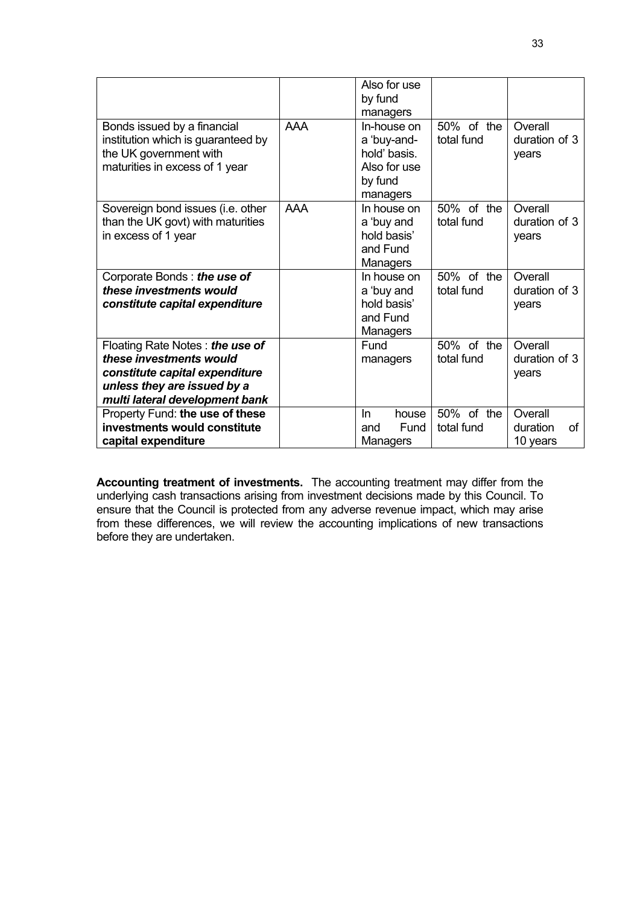|                                                                                                                                                               |            | Also for use<br>by fund<br>managers                                               |                          |                                       |
|---------------------------------------------------------------------------------------------------------------------------------------------------------------|------------|-----------------------------------------------------------------------------------|--------------------------|---------------------------------------|
| Bonds issued by a financial<br>institution which is guaranteed by<br>the UK government with<br>maturities in excess of 1 year                                 | <b>AAA</b> | In-house on<br>a 'buy-and-<br>hold' basis.<br>Also for use<br>by fund<br>managers | 50% of the<br>total fund | Overall<br>duration of 3<br>years     |
| Sovereign bond issues (i.e. other<br>than the UK govt) with maturities<br>in excess of 1 year                                                                 | <b>AAA</b> | In house on<br>a 'buy and<br>hold basis'<br>and Fund<br><b>Managers</b>           | 50% of the<br>total fund | Overall<br>duration of 3<br>years     |
| Corporate Bonds: the use of<br>these investments would<br>constitute capital expenditure                                                                      |            | In house on<br>a 'buy and<br>hold basis'<br>and Fund<br>Managers                  | 50% of the<br>total fund | Overall<br>duration of 3<br>years     |
| Floating Rate Notes: the use of<br>these investments would<br>constitute capital expenditure<br>unless they are issued by a<br>multi lateral development bank |            | Fund<br>managers                                                                  | 50% of the<br>total fund | Overall<br>duration of 3<br>years     |
| Property Fund: the use of these<br>investments would constitute<br>capital expenditure                                                                        |            | In.<br>house<br>Fund<br>and<br>Managers                                           | 50% of the<br>total fund | Overall<br>duration<br>οf<br>10 years |

**Accounting treatment of investments.** The accounting treatment may differ from the underlying cash transactions arising from investment decisions made by this Council. To ensure that the Council is protected from any adverse revenue impact, which may arise from these differences, we will review the accounting implications of new transactions before they are undertaken.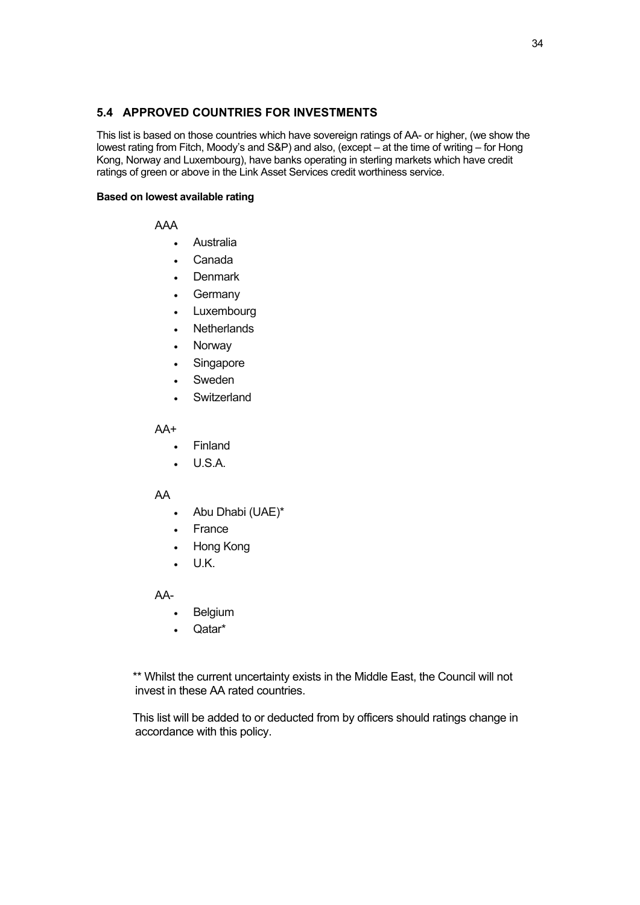## <span id="page-33-0"></span>**5.4 APPROVED COUNTRIES FOR INVESTMENTS**

This list is based on those countries which have sovereign ratings of AA- or higher, (we show the lowest rating from Fitch, Moody's and S&P) and also, (except – at the time of writing – for Hong Kong, Norway and Luxembourg), have banks operating in sterling markets which have credit ratings of green or above in the Link Asset Services credit worthiness service.

#### **Based on lowest available rating**

AAA

- Australia
- Canada
- **Denmark**
- **Germany**
- Luxembourg
- **Netherlands**
- Norway
- Singapore
- Sweden
- **Switzerland**

AA+

- Finland
- U.S.A.

#### AA

- Abu Dhabi (UAE)\*
- France
- Hong Kong
- U.K.

AA-

- Belgium
- Qatar\*

\*\* Whilst the current uncertainty exists in the Middle East, the Council will not invest in these AA rated countries.

This list will be added to or deducted from by officers should ratings change in accordance with this policy.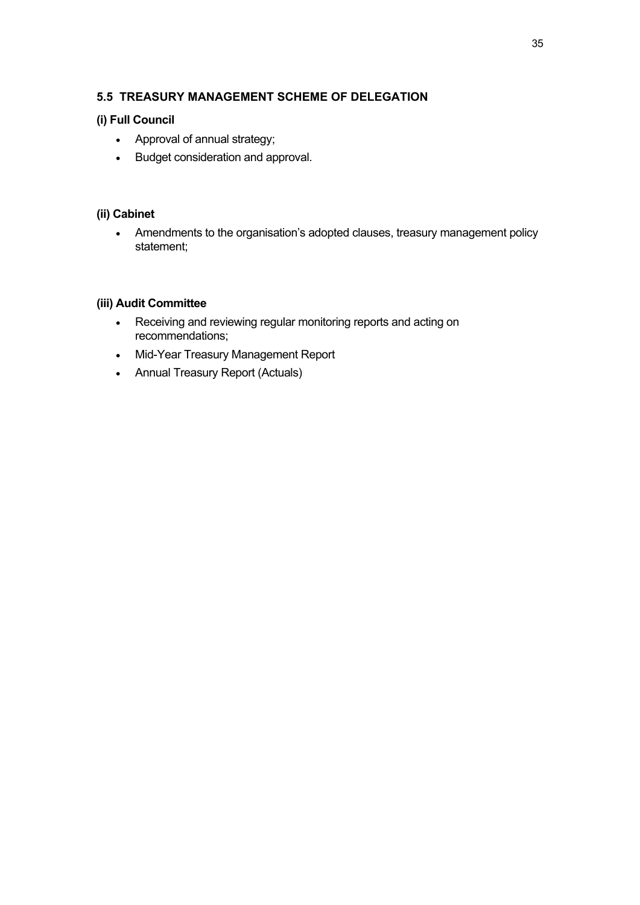## <span id="page-34-0"></span>**5.5 TREASURY MANAGEMENT SCHEME OF DELEGATION**

## **(i) Full Council**

- Approval of annual strategy;
- Budget consideration and approval.

## **(ii) Cabinet**

 Amendments to the organisation's adopted clauses, treasury management policy statement;

## **(iii) Audit Committee**

- Receiving and reviewing regular monitoring reports and acting on recommendations;
- Mid-Year Treasury Management Report
- Annual Treasury Report (Actuals)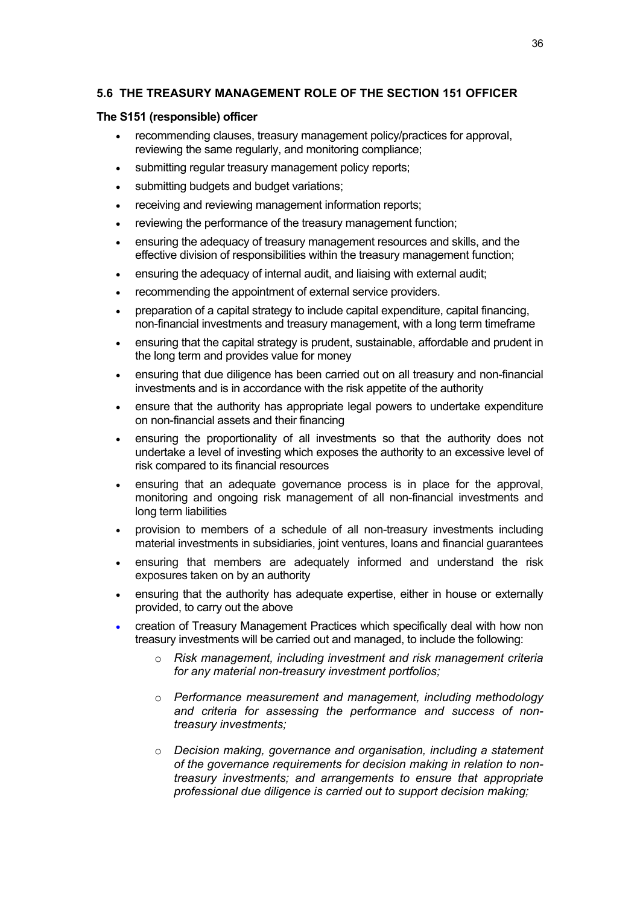## <span id="page-35-0"></span>**5.6 THE TREASURY MANAGEMENT ROLE OF THE SECTION 151 OFFICER**

#### **The S151 (responsible) officer**

- recommending clauses, treasury management policy/practices for approval, reviewing the same regularly, and monitoring compliance;
- submitting regular treasury management policy reports:
- submitting budgets and budget variations;
- receiving and reviewing management information reports;
- reviewing the performance of the treasury management function;
- ensuring the adequacy of treasury management resources and skills, and the effective division of responsibilities within the treasury management function;
- ensuring the adequacy of internal audit, and liaising with external audit;
- recommending the appointment of external service providers.
- preparation of a capital strategy to include capital expenditure, capital financing, non-financial investments and treasury management, with a long term timeframe
- ensuring that the capital strategy is prudent, sustainable, affordable and prudent in the long term and provides value for money
- ensuring that due diligence has been carried out on all treasury and non-financial investments and is in accordance with the risk appetite of the authority
- ensure that the authority has appropriate legal powers to undertake expenditure on non-financial assets and their financing
- ensuring the proportionality of all investments so that the authority does not undertake a level of investing which exposes the authority to an excessive level of risk compared to its financial resources
- ensuring that an adequate governance process is in place for the approval, monitoring and ongoing risk management of all non-financial investments and long term liabilities
- provision to members of a schedule of all non-treasury investments including material investments in subsidiaries, joint ventures, loans and financial guarantees
- ensuring that members are adequately informed and understand the risk exposures taken on by an authority
- ensuring that the authority has adequate expertise, either in house or externally provided, to carry out the above
- creation of Treasury Management Practices which specifically deal with how non treasury investments will be carried out and managed, to include the following:
	- o *Risk management, including investment and risk management criteria for any material non-treasury investment portfolios;*
	- o *Performance measurement and management, including methodology and criteria for assessing the performance and success of nontreasury investments;*
	- o *Decision making, governance and organisation, including a statement of the governance requirements for decision making in relation to nontreasury investments; and arrangements to ensure that appropriate professional due diligence is carried out to support decision making;*